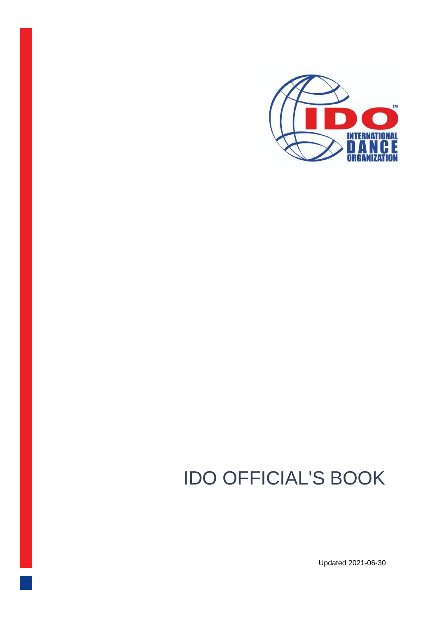

# IDO OFFICIAL'S BOOK

Updated 2021-06-30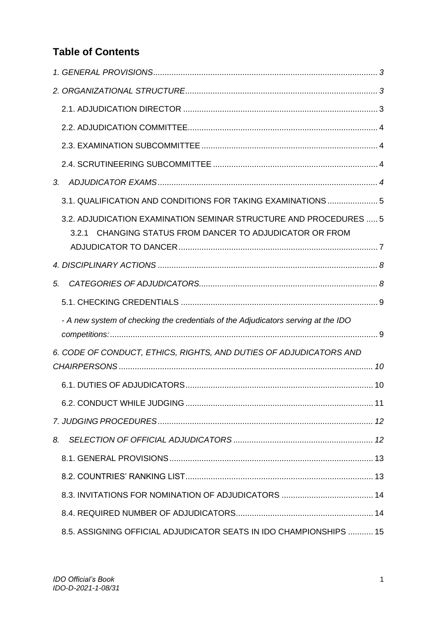# **Table of Contents**

| 3. |                                                                                                                                  |  |
|----|----------------------------------------------------------------------------------------------------------------------------------|--|
|    | 3.1. QUALIFICATION AND CONDITIONS FOR TAKING EXAMINATIONS  5                                                                     |  |
|    | 3.2. ADJUDICATION EXAMINATION SEMINAR STRUCTURE AND PROCEDURES  5<br>CHANGING STATUS FROM DANCER TO ADJUDICATOR OR FROM<br>3.2.1 |  |
|    |                                                                                                                                  |  |
| 5. |                                                                                                                                  |  |
|    |                                                                                                                                  |  |
|    | - A new system of checking the credentials of the Adjudicators serving at the IDO                                                |  |
|    | 6. CODE OF CONDUCT, ETHICS, RIGHTS, AND DUTIES OF ADJUDICATORS AND                                                               |  |
|    |                                                                                                                                  |  |
|    |                                                                                                                                  |  |
|    |                                                                                                                                  |  |
| 8. |                                                                                                                                  |  |
|    |                                                                                                                                  |  |
|    |                                                                                                                                  |  |
|    |                                                                                                                                  |  |
|    |                                                                                                                                  |  |
|    | 8.5. ASSIGNING OFFICIAL ADJUDICATOR SEATS IN IDO CHAMPIONSHIPS  15                                                               |  |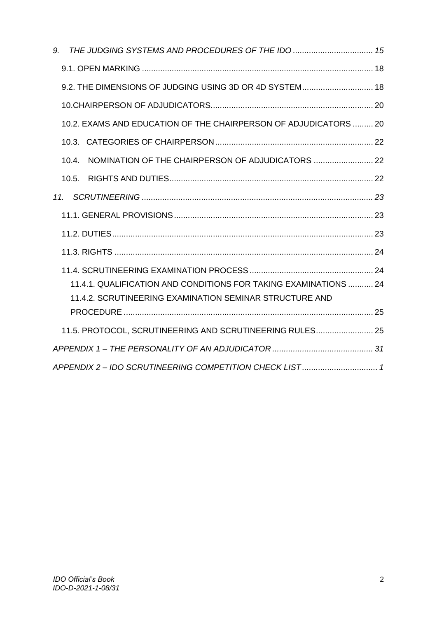<span id="page-2-0"></span>

|     | 9. THE JUDGING SYSTEMS AND PROCEDURES OF THE IDO  15             |  |
|-----|------------------------------------------------------------------|--|
|     |                                                                  |  |
|     | 9.2. THE DIMENSIONS OF JUDGING USING 3D OR 4D SYSTEM 18          |  |
|     |                                                                  |  |
|     | 10.2. EXAMS AND EDUCATION OF THE CHAIRPERSON OF ADJUDICATORS  20 |  |
|     |                                                                  |  |
|     | 10.4.                                                            |  |
|     |                                                                  |  |
| 11. |                                                                  |  |
|     |                                                                  |  |
|     |                                                                  |  |
|     |                                                                  |  |
|     |                                                                  |  |
|     | 11.4.1. QUALIFICATION AND CONDITIONS FOR TAKING EXAMINATIONS  24 |  |
|     | 11.4.2. SCRUTINEERING EXAMINATION SEMINAR STRUCTURE AND          |  |
|     |                                                                  |  |
|     | 11.5. PROTOCOL, SCRUTINEERING AND SCRUTINEERING RULES 25         |  |
|     |                                                                  |  |
|     |                                                                  |  |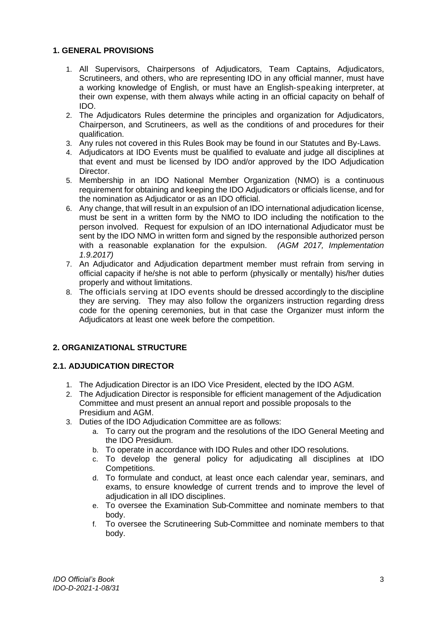## **1. GENERAL PROVISIONS**

- 1. All Supervisors, Chairpersons of Adjudicators, Team Captains, Adjudicators, Scrutineers, and others, who are representing IDO in any official manner, must have a working knowledge of English, or must have an English-speaking interpreter, at their own expense, with them always while acting in an official capacity on behalf of IDO.
- 2. The Adjudicators Rules determine the principles and organization for Adjudicators, Chairperson, and Scrutineers, as well as the conditions of and procedures for their qualification.
- 3. Any rules not covered in this Rules Book may be found in our Statutes and By-Laws.
- 4. Adjudicators at IDO Events must be qualified to evaluate and judge all disciplines at that event and must be licensed by IDO and/or approved by the IDO Adjudication Director.
- 5. Membership in an IDO National Member Organization (NMO) is a continuous requirement for obtaining and keeping the IDO Adjudicators or officials license, and for the nomination as Adjudicator or as an IDO official.
- 6. Any change, that will result in an expulsion of an IDO international adjudication license, must be sent in a written form by the NMO to IDO including the notification to the person involved. Request for expulsion of an IDO international Adjudicator must be sent by the IDO NMO in written form and signed by the responsible authorized person with a reasonable explanation for the expulsion. *(AGM 2017, Implementation 1.9.2017)*
- 7. An Adjudicator and Adjudication department member must refrain from serving in official capacity if he/she is not able to perform (physically or mentally) his/her duties properly and without limitations.
- 8. The officials serving at IDO events should be dressed accordingly to the discipline they are serving. They may also follow the organizers instruction regarding dress code for the opening ceremonies, but in that case the Organizer must inform the Adjudicators at least one week before the competition.

## <span id="page-3-0"></span>**2. ORGANIZATIONAL STRUCTURE**

## <span id="page-3-1"></span>**2.1. ADJUDICATION DIRECTOR**

- 1. The Adjudication Director is an IDO Vice President, elected by the IDO AGM.
- 2. The Adjudication Director is responsible for efficient management of the Adjudication Committee and must present an annual report and possible proposals to the Presidium and AGM.
- 3. Duties of the IDO Adjudication Committee are as follows:
	- a. To carry out the program and the resolutions of the IDO General Meeting and the IDO Presidium.
	- b. To operate in accordance with IDO Rules and other IDO resolutions.
	- c. To develop the general policy for adjudicating all disciplines at IDO Competitions.
	- d. To formulate and conduct, at least once each calendar year, seminars, and exams, to ensure knowledge of current trends and to improve the level of adjudication in all IDO disciplines.
	- e. To oversee the Examination Sub-Committee and nominate members to that body.
	- f. To oversee the Scrutineering Sub-Committee and nominate members to that body.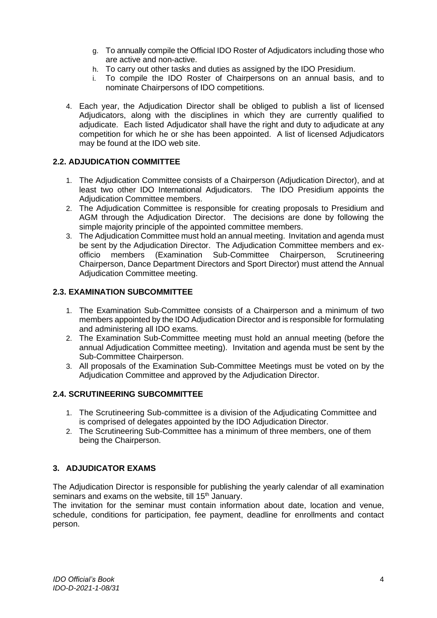- g. To annually compile the Official IDO Roster of Adjudicators including those who are active and non-active.
- h. To carry out other tasks and duties as assigned by the IDO Presidium.
- i. To compile the IDO Roster of Chairpersons on an annual basis, and to nominate Chairpersons of IDO competitions.
- 4. Each year, the Adjudication Director shall be obliged to publish a list of licensed Adjudicators, along with the disciplines in which they are currently qualified to adjudicate. Each listed Adjudicator shall have the right and duty to adjudicate at any competition for which he or she has been appointed. A list of licensed Adjudicators may be found at the IDO web site.

## <span id="page-4-0"></span>**2.2. ADJUDICATION COMMITTEE**

- 1. The Adjudication Committee consists of a Chairperson (Adjudication Director), and at least two other IDO International Adjudicators. The IDO Presidium appoints the Adjudication Committee members.
- 2. The Adjudication Committee is responsible for creating proposals to Presidium and AGM through the Adjudication Director. The decisions are done by following the simple majority principle of the appointed committee members.
- 3. The Adjudication Committee must hold an annual meeting. Invitation and agenda must be sent by the Adjudication Director. The Adjudication Committee members and exofficio members (Examination Sub-Committee Chairperson, Scrutineering Chairperson, Dance Department Directors and Sport Director) must attend the Annual Adjudication Committee meeting.

## <span id="page-4-1"></span>**2.3. EXAMINATION SUBCOMMITTEE**

- 1. The Examination Sub-Committee consists of a Chairperson and a minimum of two members appointed by the IDO Adjudication Director and is responsible for formulating and administering all IDO exams.
- 2. The Examination Sub-Committee meeting must hold an annual meeting (before the annual Adjudication Committee meeting). Invitation and agenda must be sent by the Sub-Committee Chairperson.
- 3. All proposals of the Examination Sub-Committee Meetings must be voted on by the Adjudication Committee and approved by the Adjudication Director.

## <span id="page-4-2"></span>**2.4. SCRUTINEERING SUBCOMMITTEE**

- 1. The Scrutineering Sub-committee is a division of the Adjudicating Committee and is comprised of delegates appointed by the IDO Adjudication Director.
- 2. The Scrutineering Sub-Committee has a minimum of three members, one of them being the Chairperson.

## <span id="page-4-3"></span>**3. ADJUDICATOR EXAMS**

The Adjudication Director is responsible for publishing the yearly calendar of all examination seminars and exams on the website, till 15<sup>th</sup> January.

The invitation for the seminar must contain information about date, location and venue, schedule, conditions for participation, fee payment, deadline for enrollments and contact person.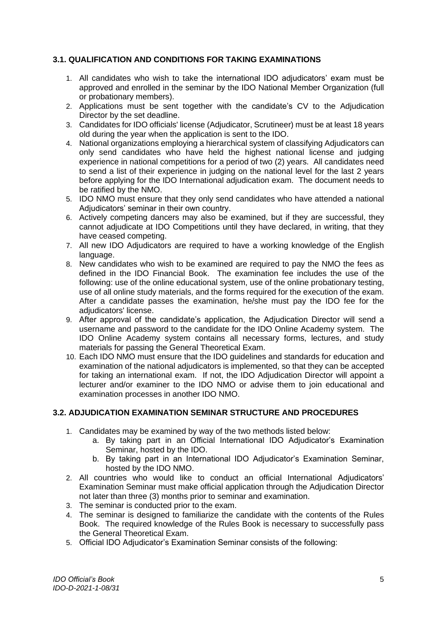## <span id="page-5-0"></span>**3.1. QUALIFICATION AND CONDITIONS FOR TAKING EXAMINATIONS**

- 1. All candidates who wish to take the international IDO adjudicators' exam must be approved and enrolled in the seminar by the IDO National Member Organization (full or probationary members).
- 2. Applications must be sent together with the candidate's CV to the Adjudication Director by the set deadline.
- 3. Candidates for IDO officials' license (Adjudicator, Scrutineer) must be at least 18 years old during the year when the application is sent to the IDO.
- 4. National organizations employing a hierarchical system of classifying Adjudicators can only send candidates who have held the highest national license and judging experience in national competitions for a period of two (2) years. All candidates need to send a list of their experience in judging on the national level for the last 2 years before applying for the IDO International adjudication exam. The document needs to be ratified by the NMO.
- 5. IDO NMO must ensure that they only send candidates who have attended a national Adjudicators' seminar in their own country.
- 6. Actively competing dancers may also be examined, but if they are successful, they cannot adjudicate at IDO Competitions until they have declared, in writing, that they have ceased competing.
- 7. All new IDO Adjudicators are required to have a working knowledge of the English language.
- 8. New candidates who wish to be examined are required to pay the NMO the fees as defined in the IDO Financial Book. The examination fee includes the use of the following: use of the online educational system, use of the online probationary testing, use of all online study materials, and the forms required for the execution of the exam. After a candidate passes the examination, he/she must pay the IDO fee for the adiudicators' license.
- 9. After approval of the candidate's application, the Adjudication Director will send a username and password to the candidate for the IDO Online Academy system. The IDO Online Academy system contains all necessary forms, lectures, and study materials for passing the General Theoretical Exam.
- 10. Each IDO NMO must ensure that the IDO guidelines and standards for education and examination of the national adjudicators is implemented, so that they can be accepted for taking an international exam. If not, the IDO Adjudication Director will appoint a lecturer and/or examiner to the IDO NMO or advise them to join educational and examination processes in another IDO NMO.

## <span id="page-5-1"></span>**3.2. ADJUDICATION EXAMINATION SEMINAR STRUCTURE AND PROCEDURES**

- 1. Candidates may be examined by way of the two methods listed below:
	- a. By taking part in an Official International IDO Adjudicator's Examination Seminar, hosted by the IDO.
	- b. By taking part in an International IDO Adjudicator's Examination Seminar, hosted by the IDO NMO.
- 2. All countries who would like to conduct an official International Adjudicators' Examination Seminar must make official application through the Adjudication Director not later than three (3) months prior to seminar and examination.
- 3. The seminar is conducted prior to the exam.
- 4. The seminar is designed to familiarize the candidate with the contents of the Rules Book. The required knowledge of the Rules Book is necessary to successfully pass the General Theoretical Exam.
- 5. Official IDO Adjudicator's Examination Seminar consists of the following: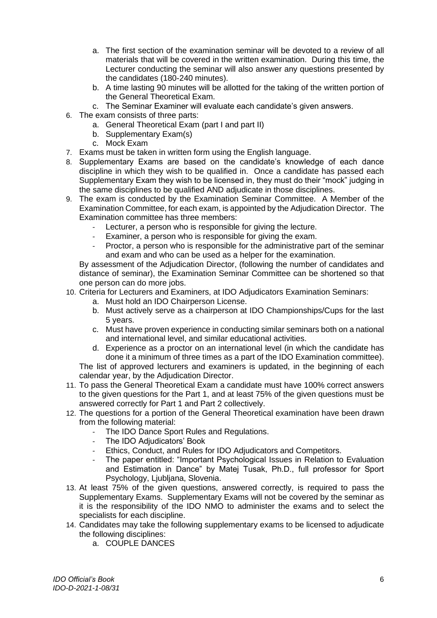- a. The first section of the examination seminar will be devoted to a review of all materials that will be covered in the written examination. During this time, the Lecturer conducting the seminar will also answer any questions presented by the candidates (180-240 minutes).
- b. A time lasting 90 minutes will be allotted for the taking of the written portion of the General Theoretical Exam.
- c. The Seminar Examiner will evaluate each candidate's given answers.
- 6. The exam consists of three parts:
	- a. General Theoretical Exam (part I and part II)
	- b. Supplementary Exam(s)
	- c. Mock Exam
- 7. Exams must be taken in written form using the English language.
- 8. Supplementary Exams are based on the candidate's knowledge of each dance discipline in which they wish to be qualified in. Once a candidate has passed each Supplementary Exam they wish to be licensed in, they must do their "mock" judging in the same disciplines to be qualified AND adjudicate in those disciplines.
- 9. The exam is conducted by the Examination Seminar Committee. A Member of the Examination Committee, for each exam, is appointed by the Adjudication Director. The Examination committee has three members:
	- Lecturer, a person who is responsible for giving the lecture.
	- Examiner, a person who is responsible for giving the exam.
	- Proctor, a person who is responsible for the administrative part of the seminar and exam and who can be used as a helper for the examination.

By assessment of the Adjudication Director, (following the number of candidates and distance of seminar), the Examination Seminar Committee can be shortened so that one person can do more jobs.

- 10. Criteria for Lecturers and Examiners, at IDO Adjudicators Examination Seminars:
	- a. Must hold an IDO Chairperson License.
	- b. Must actively serve as a chairperson at IDO Championships/Cups for the last 5 years.
	- c. Must have proven experience in conducting similar seminars both on a national and international level, and similar educational activities.
	- d. Experience as a proctor on an international level (in which the candidate has done it a minimum of three times as a part of the IDO Examination committee).

The list of approved lecturers and examiners is updated, in the beginning of each calendar year, by the Adjudication Director.

- 11. To pass the General Theoretical Exam a candidate must have 100% correct answers to the given questions for the Part 1, and at least 75% of the given questions must be answered correctly for Part 1 and Part 2 collectively.
- 12. The questions for a portion of the General Theoretical examination have been drawn from the following material:
	- The IDO Dance Sport Rules and Regulations.
	- The IDO Adiudicators' Book
	- Ethics, Conduct, and Rules for IDO Adjudicators and Competitors.
	- The paper entitled: "Important Psychological Issues in Relation to Evaluation and Estimation in Dance" by Matej Tusak, Ph.D., full professor for Sport Psychology, Ljubljana, Slovenia.
- 13. At least 75% of the given questions, answered correctly, is required to pass the Supplementary Exams. Supplementary Exams will not be covered by the seminar as it is the responsibility of the IDO NMO to administer the exams and to select the specialists for each discipline.
- 14. Candidates may take the following supplementary exams to be licensed to adjudicate the following disciplines:
	- a. COUPLE DANCES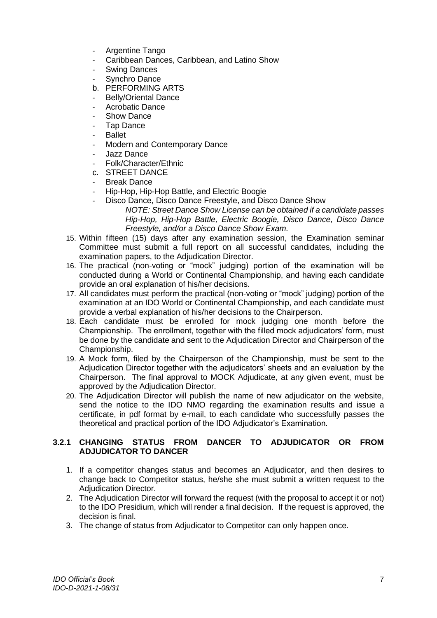- Argentine Tango
- Caribbean Dances, Caribbean, and Latino Show
- Swing Dances
- Synchro Dance
- b. PERFORMING ARTS
- Belly/Oriental Dance
- Acrobatic Dance
- Show Dance
- Tap Dance
- **Ballet**
- Modern and Contemporary Dance
- Jazz Dance
- Folk/Character/Ethnic
- c. STREET DANCE
- **Break Dance**
- Hip-Hop, Hip-Hop Battle, and Electric Boogie
	- Disco Dance, Disco Dance Freestyle, and Disco Dance Show *NOTE: Street Dance Show License can be obtained if a candidate passes Hip-Hop, Hip-Hop Battle, Electric Boogie, Disco Dance, Disco Dance Freestyle, and/or a Disco Dance Show Exam.*
- 15. Within fifteen (15) days after any examination session, the Examination seminar Committee must submit a full report on all successful candidates, including the examination papers, to the Adjudication Director.
- 16. The practical (non-voting or "mock" judging) portion of the examination will be conducted during a World or Continental Championship, and having each candidate provide an oral explanation of his/her decisions.
- 17. All candidates must perform the practical (non-voting or "mock" judging) portion of the examination at an IDO World or Continental Championship, and each candidate must provide a verbal explanation of his/her decisions to the Chairperson.
- 18. Each candidate must be enrolled for mock judging one month before the Championship. The enrollment, together with the filled mock adjudicators' form, must be done by the candidate and sent to the Adjudication Director and Chairperson of the Championship.
- 19. A Mock form, filed by the Chairperson of the Championship, must be sent to the Adjudication Director together with the adjudicators' sheets and an evaluation by the Chairperson. The final approval to MOCK Adjudicate, at any given event, must be approved by the Adjudication Director.
- 20. The Adjudication Director will publish the name of new adjudicator on the website, send the notice to the IDO NMO regarding the examination results and issue a certificate, in pdf format by e-mail, to each candidate who successfully passes the theoretical and practical portion of the IDO Adjudicator's Examination.

#### <span id="page-7-0"></span>**3.2.1 CHANGING STATUS FROM DANCER TO ADJUDICATOR OR FROM ADJUDICATOR TO DANCER**

- 1. If a competitor changes status and becomes an Adjudicator, and then desires to change back to Competitor status, he/she she must submit a written request to the Adjudication Director.
- 2. The Adjudication Director will forward the request (with the proposal to accept it or not) to the IDO Presidium, which will render a final decision. If the request is approved, the decision is final.
- 3. The change of status from Adjudicator to Competitor can only happen once.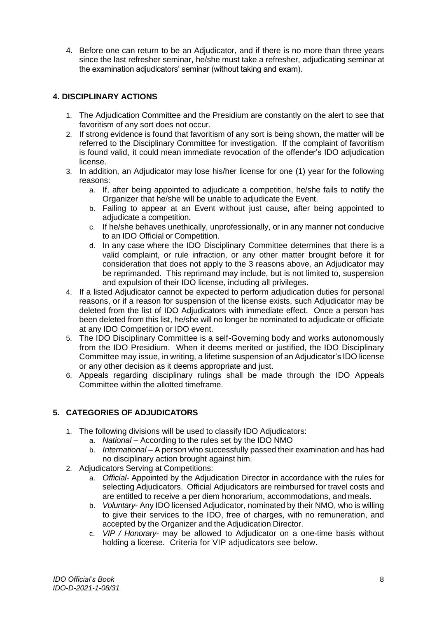4. Before one can return to be an Adjudicator, and if there is no more than three years since the last refresher seminar, he/she must take a refresher, adjudicating seminar at the examination adjudicators' seminar (without taking and exam).

## <span id="page-8-0"></span>**4. DISCIPLINARY ACTIONS**

- 1. The Adjudication Committee and the Presidium are constantly on the alert to see that favoritism of any sort does not occur.
- 2. If strong evidence is found that favoritism of any sort is being shown, the matter will be referred to the Disciplinary Committee for investigation. If the complaint of favoritism is found valid, it could mean immediate revocation of the offender's IDO adjudication license.
- 3. In addition, an Adjudicator may lose his/her license for one (1) year for the following reasons:
	- a. If, after being appointed to adjudicate a competition, he/she fails to notify the Organizer that he/she will be unable to adjudicate the Event.
	- b. Failing to appear at an Event without just cause, after being appointed to adjudicate a competition.
	- c. If he/she behaves unethically, unprofessionally, or in any manner not conducive to an IDO Official or Competition.
	- d. In any case where the IDO Disciplinary Committee determines that there is a valid complaint, or rule infraction, or any other matter brought before it for consideration that does not apply to the 3 reasons above, an Adjudicator may be reprimanded. This reprimand may include, but is not limited to, suspension and expulsion of their IDO license, including all privileges.
- 4. If a listed Adjudicator cannot be expected to perform adjudication duties for personal reasons, or if a reason for suspension of the license exists, such Adjudicator may be deleted from the list of IDO Adjudicators with immediate effect. Once a person has been deleted from this list, he/she will no longer be nominated to adjudicate or officiate at any IDO Competition or IDO event.
- 5. The IDO Disciplinary Committee is a self-Governing body and works autonomously from the IDO Presidium. When it deems merited or justified, the IDO Disciplinary Committee may issue, in writing, a lifetime suspension of an Adjudicator's IDO license or any other decision as it deems appropriate and just.
- 6. Appeals regarding disciplinary rulings shall be made through the IDO Appeals Committee within the allotted timeframe.

## <span id="page-8-1"></span>**5. CATEGORIES OF ADJUDICATORS**

- 1. The following divisions will be used to classify IDO Adjudicators:
	- a. *National –* According to the rules set by the IDO NMO
	- b. *International –* A person who successfully passed their examination and has had no disciplinary action brought against him.
- 2. Adjudicators Serving at Competitions:
	- a. *Official-* Appointed by the Adjudication Director in accordance with the rules for selecting Adjudicators. Official Adjudicators are reimbursed for travel costs and are entitled to receive a per diem honorarium, accommodations, and meals.
	- b. *Voluntary* Any IDO licensed Adjudicator, nominated by their NMO, who is willing to give their services to the IDO, free of charges, with no remuneration, and accepted by the Organizer and the Adjudication Director.
	- c. *VIP / Honorary-* may be allowed to Adjudicator on a one-time basis without holding a license. Criteria for VIP adjudicators see below.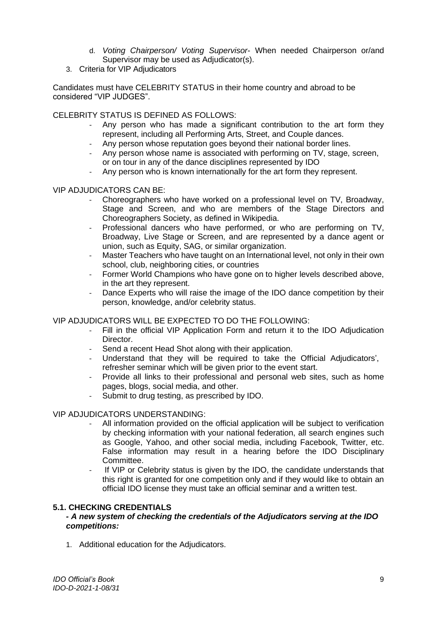- d. *Voting Chairperson/ Voting Supervisor* When needed Chairperson or/and Supervisor may be used as Adjudicator(s).
- 3. Criteria for VIP Adjudicators

Candidates must have CELEBRITY STATUS in their home country and abroad to be considered "VIP JUDGES".

CELEBRITY STATUS IS DEFINED AS FOLLOWS:

- Any person who has made a significant contribution to the art form they represent, including all Performing Arts, Street, and Couple dances.
- Any person whose reputation goes beyond their national border lines.
- Any person whose name is associated with performing on TV, stage, screen, or on tour in any of the dance disciplines represented by IDO
- Any person who is known internationally for the art form they represent.

#### VIP ADJUDICATORS CAN BE:

- Choreographers who have worked on a professional level on TV, Broadway, Stage and Screen, and who are members of the Stage Directors and Choreographers Society, as defined in Wikipedia.
- Professional dancers who have performed, or who are performing on TV, Broadway, Live Stage or Screen, and are represented by a dance agent or union, such as Equity, SAG, or similar organization.
- Master Teachers who have taught on an International level, not only in their own school, club, neighboring cities, or countries
- Former World Champions who have gone on to higher levels described above, in the art they represent.
- Dance Experts who will raise the image of the IDO dance competition by their person, knowledge, and/or celebrity status.

#### VIP ADJUDICATORS WILL BE EXPECTED TO DO THE FOLLOWING:

- Fill in the official VIP Application Form and return it to the IDO Adjudication Director.
- Send a recent Head Shot along with their application.<br>- Understand that they will be required to take the
- Understand that they will be required to take the Official Adjudicators', refresher seminar which will be given prior to the event start.
- Provide all links to their professional and personal web sites, such as home pages, blogs, social media, and other.
- Submit to drug testing, as prescribed by IDO.

#### VIP ADJUDICATORS UNDERSTANDING:

- All information provided on the official application will be subject to verification by checking information with your national federation, all search engines such as Google, Yahoo, and other social media, including Facebook, Twitter, etc. False information may result in a hearing before the IDO Disciplinary Committee.
- If VIP or Celebrity status is given by the IDO, the candidate understands that this right is granted for one competition only and if they would like to obtain an official IDO license they must take an official seminar and a written test.

#### <span id="page-9-1"></span><span id="page-9-0"></span>**5.1. CHECKING CREDENTIALS**

#### *- A new system of checking the credentials of the Adjudicators serving at the IDO competitions:*

1. Additional education for the Adjudicators.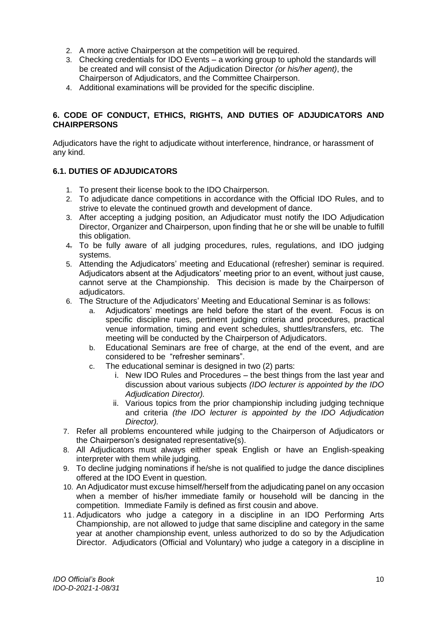- 2. A more active Chairperson at the competition will be required.
- 3. Checking credentials for IDO Events a working group to uphold the standards will be created and will consist of the Adjudication Director *(or his/her agent)*, the Chairperson of Adjudicators, and the Committee Chairperson.
- 4. Additional examinations will be provided for the specific discipline.

## <span id="page-10-0"></span>**6. CODE OF CONDUCT, ETHICS, RIGHTS, AND DUTIES OF ADJUDICATORS AND CHAIRPERSONS**

Adjudicators have the right to adjudicate without interference, hindrance, or harassment of any kind.

## <span id="page-10-1"></span>**6.1. DUTIES OF ADJUDICATORS**

- 1. To present their license book to the IDO Chairperson.
- 2. To adjudicate dance competitions in accordance with the Official IDO Rules, and to strive to elevate the continued growth and development of dance.
- 3. After accepting a judging position, an Adjudicator must notify the IDO Adjudication Director, Organizer and Chairperson, upon finding that he or she will be unable to fulfill this obligation.
- 4. To be fully aware of all judging procedures, rules, regulations, and IDO judging systems.
- 5. Attending the Adjudicators' meeting and Educational (refresher) seminar is required. Adjudicators absent at the Adjudicators' meeting prior to an event, without just cause, cannot serve at the Championship. This decision is made by the Chairperson of adiudicators.
- 6. The Structure of the Adjudicators' Meeting and Educational Seminar is as follows:
	- a. Adjudicators' meetings are held before the start of the event. Focus is on specific discipline rues, pertinent judging criteria and procedures, practical venue information, timing and event schedules, shuttles/transfers, etc. The meeting will be conducted by the Chairperson of Adjudicators.
	- b. Educational Seminars are free of charge, at the end of the event, and are considered to be "refresher seminars".
	- c. The educational seminar is designed in two (2) parts:
		- i. New IDO Rules and Procedures the best things from the last year and discussion about various subjects *(IDO lecturer is appointed by the IDO Adjudication Director).*
		- ii. Various topics from the prior championship including judging technique and criteria *(the IDO lecturer is appointed by the IDO Adjudication Director).*
- 7. Refer all problems encountered while judging to the Chairperson of Adjudicators or the Chairperson's designated representative(s).
- 8. All Adjudicators must always either speak English or have an English-speaking interpreter with them while judging.
- 9. To decline judging nominations if he/she is not qualified to judge the dance disciplines offered at the IDO Event in question.
- 10. An Adjudicator must excuse himself/herself from the adjudicating panel on any occasion when a member of his/her immediate family or household will be dancing in the competition. Immediate Family is defined as first cousin and above.
- 11. Adjudicators who judge a category in a discipline in an IDO Performing Arts Championship, are not allowed to judge that same discipline and category in the same year at another championship event, unless authorized to do so by the Adjudication Director. Adjudicators (Official and Voluntary) who judge a category in a discipline in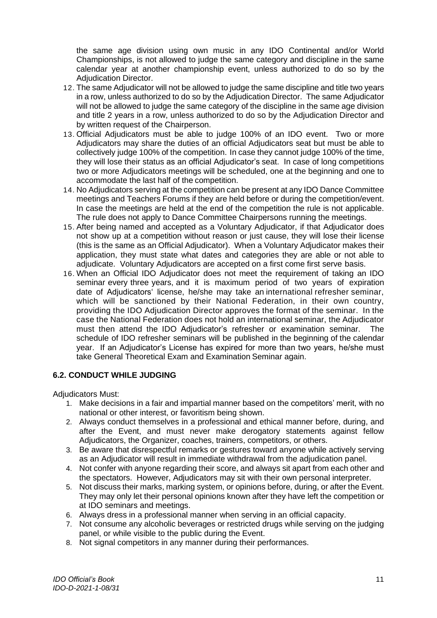the same age division using own music in any IDO Continental and/or World Championships, is not allowed to judge the same category and discipline in the same calendar year at another championship event, unless authorized to do so by the Adjudication Director.

- 12. The same Adjudicator will not be allowed to judge the same discipline and title two years in a row, unless authorized to do so by the Adjudication Director. The same Adjudicator will not be allowed to judge the same category of the discipline in the same age division and title 2 years in a row, unless authorized to do so by the Adjudication Director and by written request of the Chairperson.
- 13. Official Adjudicators must be able to judge 100% of an IDO event. Two or more Adjudicators may share the duties of an official Adjudicators seat but must be able to collectively judge 100% of the competition. In case they cannot judge 100% of the time, they will lose their status as an official Adjudicator's seat. In case of long competitions two or more Adjudicators meetings will be scheduled, one at the beginning and one to accommodate the last half of the competition.
- 14. No Adjudicators serving at the competition can be present at any IDO Dance Committee meetings and Teachers Forums if they are held before or during the competition/event. In case the meetings are held at the end of the competition the rule is not applicable. The rule does not apply to Dance Committee Chairpersons running the meetings.
- 15. After being named and accepted as a Voluntary Adjudicator, if that Adjudicator does not show up at a competition without reason or just cause, they will lose their license (this is the same as an Official Adjudicator). When a Voluntary Adjudicator makes their application, they must state what dates and categories they are able or not able to adjudicate. Voluntary Adjudicators are accepted on a first come first serve basis.
- 16. When an Official IDO Adjudicator does not meet the requirement of taking an IDO seminar every three years, and it is maximum period of two years of expiration date of Adjudicators' license, he/she may take an international refresher seminar, which will be sanctioned by their National Federation, in their own country, providing the IDO Adjudication Director approves the format of the seminar. In the case the National Federation does not hold an international seminar, the Adjudicator must then attend the IDO Adjudicator's refresher or examination seminar. The schedule of IDO refresher seminars will be published in the beginning of the calendar year. If an Adjudicator's License has expired for more than two years, he/she must take General Theoretical Exam and Examination Seminar again.

## <span id="page-11-0"></span>**6.2. CONDUCT WHILE JUDGING**

Adjudicators Must:

- 1. Make decisions in a fair and impartial manner based on the competitors' merit, with no national or other interest, or favoritism being shown.
- 2. Always conduct themselves in a professional and ethical manner before, during, and after the Event, and must never make derogatory statements against fellow Adjudicators, the Organizer, coaches, trainers, competitors, or others.
- 3. Be aware that disrespectful remarks or gestures toward anyone while actively serving as an Adjudicator will result in immediate withdrawal from the adjudication panel.
- 4. Not confer with anyone regarding their score, and always sit apart from each other and the spectators. However, Adjudicators may sit with their own personal interpreter.
- 5. Not discuss their marks, marking system, or opinions before, during, or after the Event. They may only let their personal opinions known after they have left the competition or at IDO seminars and meetings.
- 6. Always dress in a professional manner when serving in an official capacity.
- 7. Not consume any alcoholic beverages or restricted drugs while serving on the judging panel, or while visible to the public during the Event.
- 8. Not signal competitors in any manner during their performances.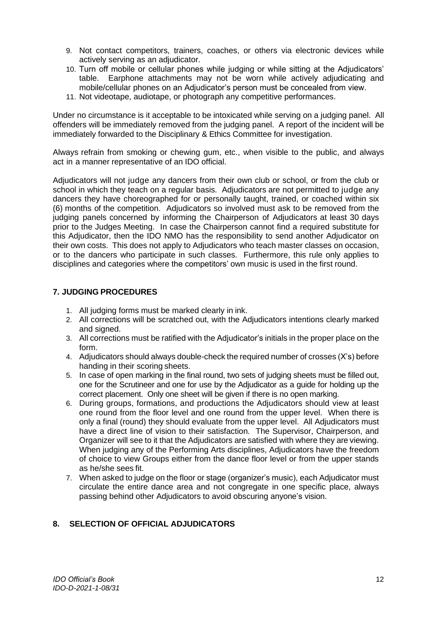- 9. Not contact competitors, trainers, coaches, or others via electronic devices while actively serving as an adjudicator.
- 10. Turn off mobile or cellular phones while judging or while sitting at the Adjudicators' table. Earphone attachments may not be worn while actively adjudicating and mobile/cellular phones on an Adjudicator's person must be concealed from view.
- 11. Not videotape, audiotape, or photograph any competitive performances.

Under no circumstance is it acceptable to be intoxicated while serving on a judging panel. All offenders will be immediately removed from the judging panel. A report of the incident will be immediately forwarded to the Disciplinary & Ethics Committee for investigation.

Always refrain from smoking or chewing gum, etc., when visible to the public, and always act in a manner representative of an IDO official.

Adjudicators will not judge any dancers from their own club or school, or from the club or school in which they teach on a regular basis. Adjudicators are not permitted to judge any dancers they have choreographed for or personally taught, trained, or coached within six (6) months of the competition. Adjudicators so involved must ask to be removed from the judging panels concerned by informing the Chairperson of Adjudicators at least 30 days prior to the Judges Meeting. In case the Chairperson cannot find a required substitute for this Adjudicator, then the IDO NMO has the responsibility to send another Adjudicator on their own costs. This does not apply to Adjudicators who teach master classes on occasion, or to the dancers who participate in such classes. Furthermore, this rule only applies to disciplines and categories where the competitors' own music is used in the first round.

## <span id="page-12-0"></span>**7. JUDGING PROCEDURES**

- 1. All judging forms must be marked clearly in ink.
- 2. All corrections will be scratched out, with the Adjudicators intentions clearly marked and signed.
- 3. All corrections must be ratified with the Adjudicator's initials in the proper place on the form.
- 4. Adjudicators should always double-check the required number of crosses (X's) before handing in their scoring sheets.
- 5. In case of open marking in the final round, two sets of judging sheets must be filled out, one for the Scrutineer and one for use by the Adjudicator as a guide for holding up the correct placement. Only one sheet will be given if there is no open marking.
- 6. During groups, formations, and productions the Adjudicators should view at least one round from the floor level and one round from the upper level. When there is only a final (round) they should evaluate from the upper level. All Adjudicators must have a direct line of vision to their satisfaction. The Supervisor, Chairperson, and Organizer will see to it that the Adjudicators are satisfied with where they are viewing. When judging any of the Performing Arts disciplines, Adjudicators have the freedom of choice to view Groups either from the dance floor level or from the upper stands as he/she sees fit.
- 7. When asked to judge on the floor or stage (organizer's music), each Adjudicator must circulate the entire dance area and not congregate in one specific place, always passing behind other Adjudicators to avoid obscuring anyone's vision.

## <span id="page-12-1"></span>**8. SELECTION OF OFFICIAL ADJUDICATORS**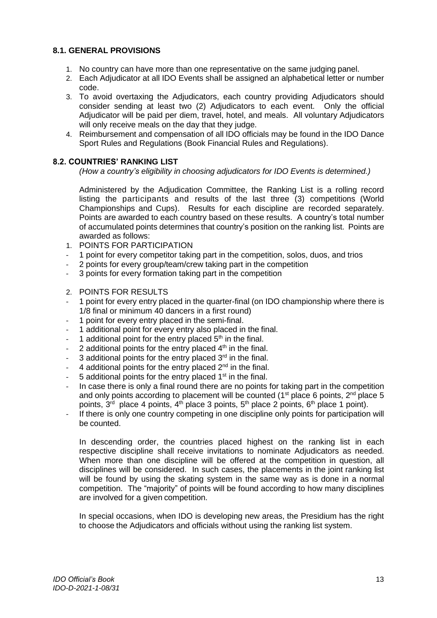#### <span id="page-13-0"></span>**8.1. GENERAL PROVISIONS**

- 1. No country can have more than one representative on the same judging panel.
- 2. Each Adjudicator at all IDO Events shall be assigned an alphabetical letter or number code.
- 3. To avoid overtaxing the Adjudicators, each country providing Adjudicators should consider sending at least two (2) Adjudicators to each event. Only the official Adjudicator will be paid per diem, travel, hotel, and meals. All voluntary Adjudicators will only receive meals on the day that they judge.
- 4. Reimbursement and compensation of all IDO officials may be found in the IDO Dance Sport Rules and Regulations (Book Financial Rules and Regulations).

## <span id="page-13-1"></span>**8.2. COUNTRIES' RANKING LIST**

*(How a country's eligibility in choosing adjudicators for IDO Events is determined.)*

Administered by the Adjudication Committee, the Ranking List is a rolling record listing the participants and results of the last three (3) competitions (World Championships and Cups). Results for each discipline are recorded separately. Points are awarded to each country based on these results. A country's total number of accumulated points determines that country's position on the ranking list. Points are awarded as follows:

- 1. POINTS FOR PARTICIPATION
- 1 point for every competitor taking part in the competition, solos, duos, and trios
- 2 points for every group/team/crew taking part in the competition
- 3 points for every formation taking part in the competition
- 2. POINTS FOR RESULTS
- 1 point for every entry placed in the quarter-final (on IDO championship where there is 1/8 final or minimum 40 dancers in a first round)
- 1 point for every entry placed in the semi-final.
- 1 additional point for every entry also placed in the final.
- 1 additional point for the entry placed  $5<sup>th</sup>$  in the final.
- 2 additional points for the entry placed  $4<sup>th</sup>$  in the final.
- 3 additional points for the entry placed  $3<sup>rd</sup>$  in the final.
- 4 additional points for the entry placed  $2<sup>nd</sup>$  in the final.
- 5 additional points for the entry placed  $1<sup>st</sup>$  in the final.
- In case there is only a final round there are no points for taking part in the competition and only points according to placement will be counted ( $1<sup>st</sup>$  place 6 points,  $2<sup>nd</sup>$  place 5 points, 3<sup>rd</sup> place 4 points, 4<sup>th</sup> place 3 points, 5<sup>th</sup> place 2 points, 6<sup>th</sup> place 1 point).
- If there is only one country competing in one discipline only points for participation will be counted.

In descending order, the countries placed highest on the ranking list in each respective discipline shall receive invitations to nominate Adjudicators as needed. When more than one discipline will be offered at the competition in question, all disciplines will be considered. In such cases, the placements in the joint ranking list will be found by using the skating system in the same way as is done in a normal competition. The "majority" of points will be found according to how many disciplines are involved for a given competition.

In special occasions, when IDO is developing new areas, the Presidium has the right to choose the Adjudicators and officials without using the ranking list system.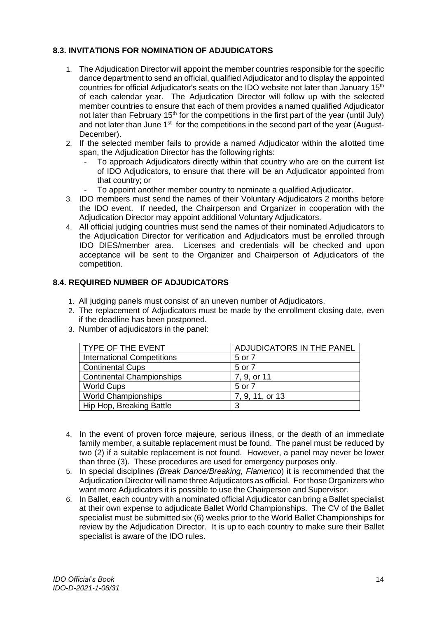## <span id="page-14-0"></span>**8.3. INVITATIONS FOR NOMINATION OF ADJUDICATORS**

- 1. The Adjudication Director will appoint the member countries responsible for the specific dance department to send an official, qualified Adjudicator and to display the appointed countries for official Adjudicator's seats on the IDO website not later than January  $15<sup>th</sup>$ of each calendar year. The Adjudication Director will follow up with the selected member countries to ensure that each of them provides a named qualified Adjudicator not later than February 15<sup>th</sup> for the competitions in the first part of the year (until July) and not later than June 1<sup>st</sup> for the competitions in the second part of the year (August-December).
- 2. If the selected member fails to provide a named Adjudicator within the allotted time span, the Adjudication Director has the following rights:
	- To approach Adjudicators directly within that country who are on the current list of IDO Adjudicators, to ensure that there will be an Adjudicator appointed from that country; or
	- To appoint another member country to nominate a qualified Adjudicator.
- 3. IDO members must send the names of their Voluntary Adjudicators 2 months before the IDO event. If needed, the Chairperson and Organizer in cooperation with the Adjudication Director may appoint additional Voluntary Adjudicators.
- 4. All official judging countries must send the names of their nominated Adjudicators to the Adjudication Director for verification and Adjudicators must be enrolled through IDO DIES/member area. Licenses and credentials will be checked and upon acceptance will be sent to the Organizer and Chairperson of Adjudicators of the competition.

#### <span id="page-14-1"></span>**8.4. REQUIRED NUMBER OF ADJUDICATORS**

- 1. All judging panels must consist of an uneven number of Adjudicators.
- 2. The replacement of Adjudicators must be made by the enrollment closing date, even if the deadline has been postponed.
- 3. Number of adjudicators in the panel:

| <b>TYPE OF THE EVENT</b>          | ADJUDICATORS IN THE PANEL |
|-----------------------------------|---------------------------|
| <b>International Competitions</b> | 5 or 7                    |
| <b>Continental Cups</b>           | 5 or 7                    |
| <b>Continental Championships</b>  | 7, 9, or 11               |
| <b>World Cups</b>                 | 5 or 7                    |
| <b>World Championships</b>        | 7, 9, 11, or 13           |
| Hip Hop, Breaking Battle          | 3                         |

- 4. In the event of proven force majeure, serious illness, or the death of an immediate family member, a suitable replacement must be found. The panel must be reduced by two (2) if a suitable replacement is not found. However, a panel may never be lower than three (3). These procedures are used for emergency purposes only.
- 5. In special disciplines *(Break Dance/Breaking, Flamenco*) it is recommended that the Adjudication Director will name three Adjudicators as official. For those Organizers who want more Adjudicators it is possible to use the Chairperson and Supervisor.
- 6. In Ballet, each country with a nominated official Adjudicator can bring a Ballet specialist at their own expense to adjudicate Ballet World Championships. The CV of the Ballet specialist must be submitted six (6) weeks prior to the World Ballet Championships for review by the Adjudication Director. It is up to each country to make sure their Ballet specialist is aware of the IDO rules.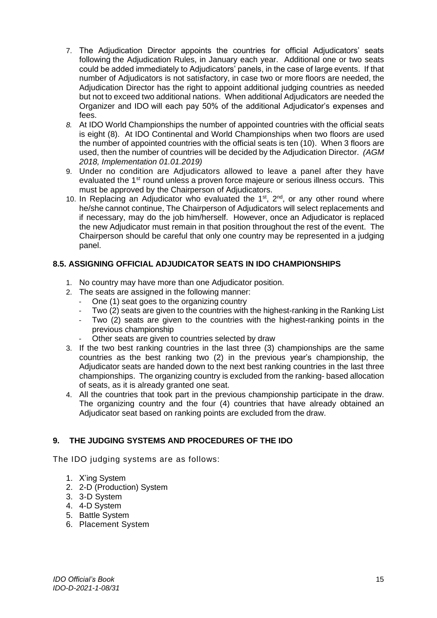- 7. The Adjudication Director appoints the countries for official Adjudicators' seats following the Adjudication Rules, in January each year. Additional one or two seats could be added immediately to Adjudicators' panels, in the case of large events. If that number of Adjudicators is not satisfactory, in case two or more floors are needed, the Adjudication Director has the right to appoint additional judging countries as needed but not to exceed two additional nations. When additional Adjudicators are needed the Organizer and IDO will each pay 50% of the additional Adjudicator's expenses and fees.
- *8.* At IDO World Championships the number of appointed countries with the official seats is eight (8). At IDO Continental and World Championships when two floors are used the number of appointed countries with the official seats is ten (10). When 3 floors are used, then the number of countries will be decided by the Adjudication Director. *(AGM 2018, Implementation 01.01.2019)*
- 9. Under no condition are Adjudicators allowed to leave a panel after they have evaluated the 1<sup>st</sup> round unless a proven force majeure or serious illness occurs. This must be approved by the Chairperson of Adjudicators.
- 10. In Replacing an Adjudicator who evaluated the  $1^{st}$ ,  $2^{nd}$ , or any other round where he/she cannot continue, The Chairperson of Adjudicators will select replacements and if necessary, may do the job him/herself. However, once an Adjudicator is replaced the new Adjudicator must remain in that position throughout the rest of the event. The Chairperson should be careful that only one country may be represented in a judging panel.

## <span id="page-15-0"></span>**8.5. ASSIGNING OFFICIAL ADJUDICATOR SEATS IN IDO CHAMPIONSHIPS**

- 1. No country may have more than one Adjudicator position.
- 2. The seats are assigned in the following manner:
	- One (1) seat goes to the organizing country
	- Two (2) seats are given to the countries with the highest-ranking in the Ranking List
	- Two (2) seats are given to the countries with the highest-ranking points in the previous championship
	- Other seats are given to countries selected by draw
- 3. If the two best ranking countries in the last three (3) championships are the same countries as the best ranking two (2) in the previous year's championship, the Adjudicator seats are handed down to the next best ranking countries in the last three championships. The organizing country is excluded from the ranking- based allocation of seats, as it is already granted one seat.
- 4. All the countries that took part in the previous championship participate in the draw. The organizing country and the four (4) countries that have already obtained an Adjudicator seat based on ranking points are excluded from the draw.

## <span id="page-15-1"></span>**9. THE JUDGING SYSTEMS AND PROCEDURES OF THE IDO**

The IDO judging systems are as follows:

- 1. X'ing System
- 2. 2-D (Production) System
- 3. 3-D System
- 4. 4-D System
- 5. Battle System
- 6. Placement System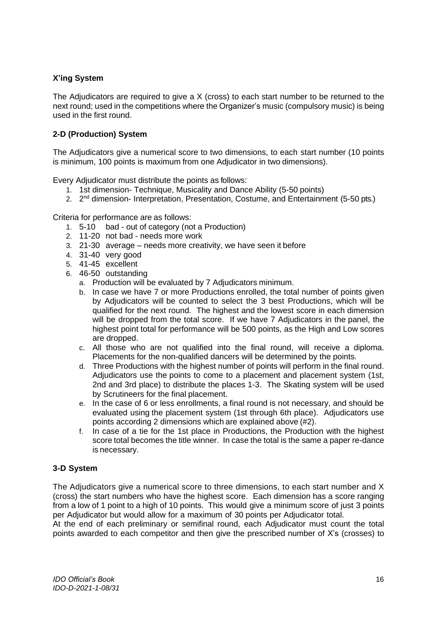## **X'ing System**

The Adjudicators are required to give a X (cross) to each start number to be returned to the next round; used in the competitions where the Organizer's music (compulsory music) is being used in the first round.

## **2-D (Production) System**

The Adjudicators give a numerical score to two dimensions, to each start number (10 points is minimum, 100 points is maximum from one Adjudicator in two dimensions).

Every Adjudicator must distribute the points as follows:

- 1. 1st dimension- Technique, Musicality and Dance Ability (5-50 points)
- 2. 2<sup>nd</sup> dimension- Interpretation, Presentation, Costume, and Entertainment (5-50 pts.)

Criteria for performance are as follows:

- 1. 5-10 bad out of category (not a Production)
- 2. 11-20 not bad needs more work
- 3. 21-30 average needs more creativity, we have seen it before
- 4. 31-40 very good
- 5. 41-45 excellent
- 6. 46-50 outstanding
	- a. Production will be evaluated by 7 Adjudicators minimum.
	- b. In case we have 7 or more Productions enrolled, the total number of points given by Adjudicators will be counted to select the 3 best Productions, which will be qualified for the next round. The highest and the lowest score in each dimension will be dropped from the total score. If we have 7 Adjudicators in the panel, the highest point total for performance will be 500 points, as the High and Low scores are dropped.
	- c. All those who are not qualified into the final round, will receive a diploma. Placements for the non-qualified dancers will be determined by the points.
	- d. Three Productions with the highest number of points will perform in the final round. Adjudicators use the points to come to a placement and placement system (1st, 2nd and 3rd place) to distribute the places 1-3. The Skating system will be used by Scrutineers for the final placement.
	- e. In the case of 6 or less enrollments, a final round is not necessary, and should be evaluated using the placement system (1st through 6th place). Adjudicators use points according 2 dimensions which are explained above (#2).
	- f. In case of a tie for the 1st place in Productions, the Production with the highest score total becomes the title winner. In case the total is the same a paper re-dance is necessary.

## **3-D System**

The Adjudicators give a numerical score to three dimensions, to each start number and X (cross) the start numbers who have the highest score. Each dimension has a score ranging from a low of 1 point to a high of 10 points. This would give a minimum score of just 3 points per Adjudicator but would allow for a maximum of 30 points per Adjudicator total.

At the end of each preliminary or semifinal round, each Adjudicator must count the total points awarded to each competitor and then give the prescribed number of X's (crosses) to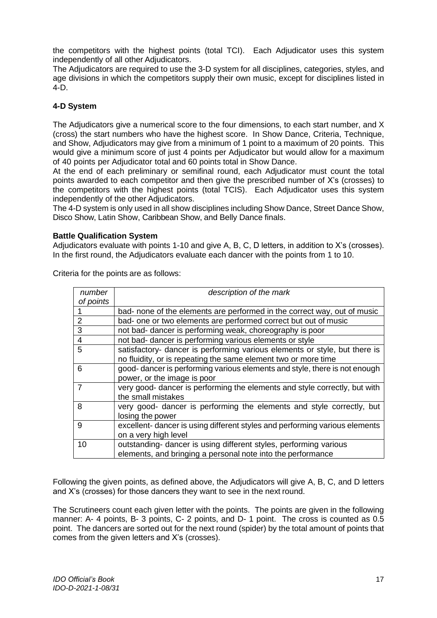the competitors with the highest points (total TCI). Each Adjudicator uses this system independently of all other Adjudicators.

The Adjudicators are required to use the 3-D system for all disciplines, categories, styles, and age divisions in which the competitors supply their own music, except for disciplines listed in  $4-D$ .

## **4-D System**

The Adjudicators give a numerical score to the four dimensions, to each start number, and X (cross) the start numbers who have the highest score. In Show Dance, Criteria, Technique, and Show, Adjudicators may give from a minimum of 1 point to a maximum of 20 points. This would give a minimum score of just 4 points per Adjudicator but would allow for a maximum of 40 points per Adjudicator total and 60 points total in Show Dance.

At the end of each preliminary or semifinal round, each Adjudicator must count the total points awarded to each competitor and then give the prescribed number of X's (crosses) to the competitors with the highest points (total TCIS). Each Adjudicator uses this system independently of the other Adjudicators.

The 4-D system is only used in all show disciplines including Show Dance, Street Dance Show, Disco Show, Latin Show, Caribbean Show, and Belly Dance finals.

#### **Battle Qualification System**

Adjudicators evaluate with points 1-10 and give A, B, C, D letters, in addition to X's (crosses). In the first round, the Adjudicators evaluate each dancer with the points from 1 to 10.

| number         | description of the mark                                                     |
|----------------|-----------------------------------------------------------------------------|
| of points      |                                                                             |
| $\overline{1}$ | bad- none of the elements are performed in the correct way, out of music    |
| 2              | bad- one or two elements are performed correct but out of music             |
| $\overline{3}$ | not bad- dancer is performing weak, choreography is poor                    |
| $\overline{4}$ | not bad- dancer is performing various elements or style                     |
| $\overline{5}$ | satisfactory- dancer is performing various elements or style, but there is  |
|                | no fluidity, or is repeating the same element two or more time              |
| 6              | good- dancer is performing various elements and style, there is not enough  |
|                | power, or the image is poor                                                 |
| $\overline{7}$ | very good- dancer is performing the elements and style correctly, but with  |
|                | the small mistakes                                                          |
| 8              | very good- dancer is performing the elements and style correctly, but       |
|                | losing the power                                                            |
| 9              | excellent- dancer is using different styles and performing various elements |
|                | on a very high level                                                        |
| 10             | outstanding- dancer is using different styles, performing various           |
|                | elements, and bringing a personal note into the performance                 |

Criteria for the points are as follows:

Following the given points, as defined above, the Adjudicators will give A, B, C, and D letters and X's (crosses) for those dancers they want to see in the next round.

The Scrutineers count each given letter with the points. The points are given in the following manner: A- 4 points, B- 3 points, C- 2 points, and D- 1 point. The cross is counted as 0.5 point. The dancers are sorted out for the next round (spider) by the total amount of points that comes from the given letters and X's (crosses).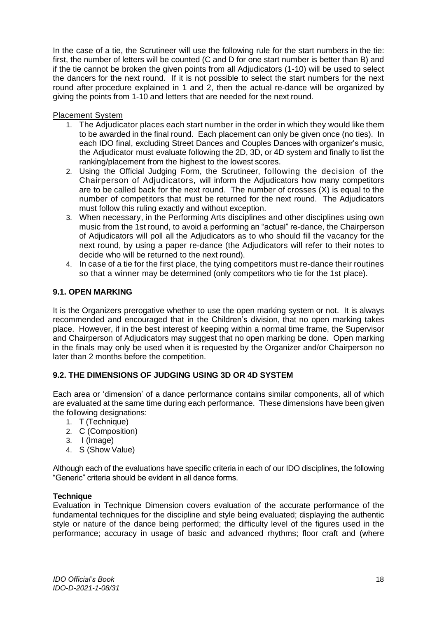In the case of a tie, the Scrutineer will use the following rule for the start numbers in the tie: first, the number of letters will be counted (C and D for one start number is better than B) and if the tie cannot be broken the given points from all Adjudicators (1-10) will be used to select the dancers for the next round. If it is not possible to select the start numbers for the next round after procedure explained in 1 and 2, then the actual re-dance will be organized by giving the points from 1-10 and letters that are needed for the next round.

## Placement System

- 1. The Adjudicator places each start number in the order in which they would like them to be awarded in the final round. Each placement can only be given once (no ties). In each IDO final, excluding Street Dances and Couples Dances with organizer's music, the Adjudicator must evaluate following the 2D, 3D, or 4D system and finally to list the ranking/placement from the highest to the lowest scores.
- 2. Using the Official Judging Form, the Scrutineer, following the decision of the Chairperson of Adjudicators, will inform the Adjudicators how many competitors are to be called back for the next round. The number of crosses (X) is equal to the number of competitors that must be returned for the next round. The Adjudicators must follow this ruling exactly and without exception.
- 3. When necessary, in the Performing Arts disciplines and other disciplines using own music from the 1st round, to avoid a performing an "actual" re-dance, the Chairperson of Adjudicators will poll all the Adjudicators as to who should fill the vacancy for the next round, by using a paper re-dance (the Adjudicators will refer to their notes to decide who will be returned to the next round).
- 4. In case of a tie for the first place, the tying competitors must re-dance their routines so that a winner may be determined (only competitors who tie for the 1st place).

## <span id="page-18-0"></span>**9.1. OPEN MARKING**

It is the Organizers prerogative whether to use the open marking system or not. It is always recommended and encouraged that in the Children's division, that no open marking takes place. However, if in the best interest of keeping within a normal time frame, the Supervisor and Chairperson of Adjudicators may suggest that no open marking be done. Open marking in the finals may only be used when it is requested by the Organizer and/or Chairperson no later than 2 months before the competition.

## <span id="page-18-1"></span>**9.2. THE DIMENSIONS OF JUDGING USING 3D OR 4D SYSTEM**

Each area or 'dimension' of a dance performance contains similar components, all of which are evaluated at the same time during each performance. These dimensions have been given the following designations:

- 1. T (Technique)
- 2. C (Composition)
- 3. I (Image)
- 4. S (Show Value)

Although each of the evaluations have specific criteria in each of our IDO disciplines, the following "Generic" criteria should be evident in all dance forms.

#### **Technique**

Evaluation in Technique Dimension covers evaluation of the accurate performance of the fundamental techniques for the discipline and style being evaluated; displaying the authentic style or nature of the dance being performed; the difficulty level of the figures used in the performance; accuracy in usage of basic and advanced rhythms; floor craft and (where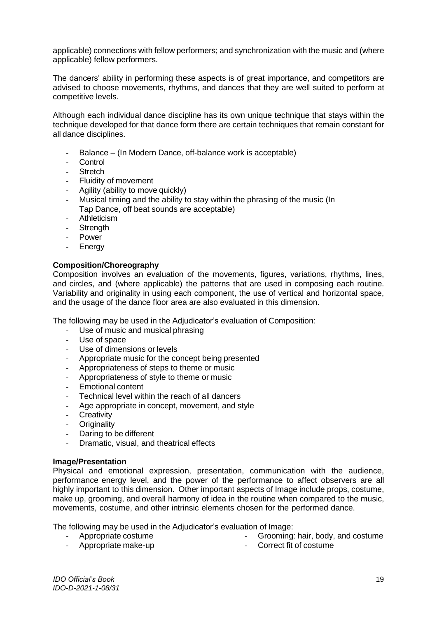applicable) connections with fellow performers; and synchronization with the music and (where applicable) fellow performers.

The dancers' ability in performing these aspects is of great importance, and competitors are advised to choose movements, rhythms, and dances that they are well suited to perform at competitive levels.

Although each individual dance discipline has its own unique technique that stays within the technique developed for that dance form there are certain techniques that remain constant for all dance disciplines.

- Balance (In Modern Dance, off-balance work is acceptable)
- Control
- **Stretch**
- Fluidity of movement
- Agility (ability to move quickly)
- Musical timing and the ability to stay within the phrasing of the music (In Tap Dance, off beat sounds are acceptable)
- **Athleticism**
- Strength
- Power
- **Energy**

#### **Composition/Choreography**

Composition involves an evaluation of the movements, figures, variations, rhythms, lines, and circles, and (where applicable) the patterns that are used in composing each routine. Variability and originality in using each component, the use of vertical and horizontal space, and the usage of the dance floor area are also evaluated in this dimension.

The following may be used in the Adjudicator's evaluation of Composition:

- Use of music and musical phrasing
- Use of space
- Use of dimensions or levels
- Appropriate music for the concept being presented
- Appropriateness of steps to theme or music
- Appropriateness of style to theme or music
- Emotional content
- Technical level within the reach of all dancers
- Age appropriate in concept, movement, and style
- Creativity
- **Originality**
- Daring to be different
- Dramatic, visual, and theatrical effects

#### **Image/Presentation**

Physical and emotional expression, presentation, communication with the audience, performance energy level, and the power of the performance to affect observers are all highly important to this dimension. Other important aspects of Image include props, costume, make up, grooming, and overall harmony of idea in the routine when compared to the music. movements, costume, and other intrinsic elements chosen for the performed dance.

The following may be used in the Adjudicator's evaluation of Image:

- Appropriate costume

- Grooming: hair, body, and costume
- Appropriate make-up - Correct fit of costume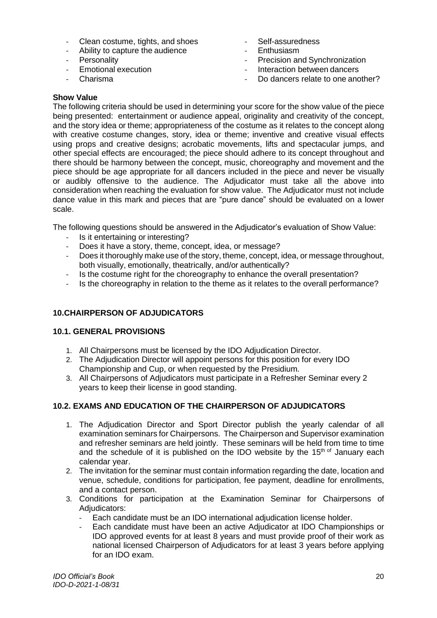- Clean costume, tights, and shoes
- Ability to capture the audience
- **Personality**
- Emotional execution
- Charisma
- Self-assuredness
- **Enthusiasm**
- Precision and Synchronization
- Interaction between dancers
- Do dancers relate to one another?

## **Show Value**

The following criteria should be used in determining your score for the show value of the piece being presented: entertainment or audience appeal, originality and creativity of the concept, and the story idea or theme; appropriateness of the costume as it relates to the concept along with creative costume changes, story, idea or theme; inventive and creative visual effects using props and creative designs; acrobatic movements, lifts and spectacular jumps, and other special effects are encouraged; the piece should adhere to its concept throughout and there should be harmony between the concept, music, choreography and movement and the piece should be age appropriate for all dancers included in the piece and never be visually or audibly offensive to the audience. The Adjudicator must take all the above into consideration when reaching the evaluation for show value. The Adjudicator must not include dance value in this mark and pieces that are "pure dance" should be evaluated on a lower scale.

The following questions should be answered in the Adjudicator's evaluation of Show Value:

- Is it entertaining or interesting?
- Does it have a story, theme, concept, idea, or message?
- Does it thoroughly make use of the story, theme, concept, idea, or message throughout, both visually, emotionally, theatrically, and/or authentically?
- Is the costume right for the choreography to enhance the overall presentation?
- Is the choreography in relation to the theme as it relates to the overall performance?

## <span id="page-20-0"></span>**10.CHAIRPERSON OF ADJUDICATORS**

## **10.1. GENERAL PROVISIONS**

- 1. All Chairpersons must be licensed by the IDO Adjudication Director.
- 2. The Adjudication Director will appoint persons for this position for every IDO Championship and Cup, or when requested by the Presidium.
- 3. All Chairpersons of Adjudicators must participate in a Refresher Seminar every 2 years to keep their license in good standing.

## <span id="page-20-1"></span>**10.2. EXAMS AND EDUCATION OF THE CHAIRPERSON OF ADJUDICATORS**

- 1. The Adjudication Director and Sport Director publish the yearly calendar of all examination seminars for Chairpersons. The Chairperson and Supervisor examination and refresher seminars are held jointly. These seminars will be held from time to time and the schedule of it is published on the IDO website by the 15<sup>th of</sup> January each calendar year.
- 2. The invitation for the seminar must contain information regarding the date, location and venue, schedule, conditions for participation, fee payment, deadline for enrollments, and a contact person.
- 3. Conditions for participation at the Examination Seminar for Chairpersons of Adiudicators:
	- Each candidate must be an IDO international adjudication license holder.
	- Each candidate must have been an active Adjudicator at IDO Championships or IDO approved events for at least 8 years and must provide proof of their work as national licensed Chairperson of Adjudicators for at least 3 years before applying for an IDO exam.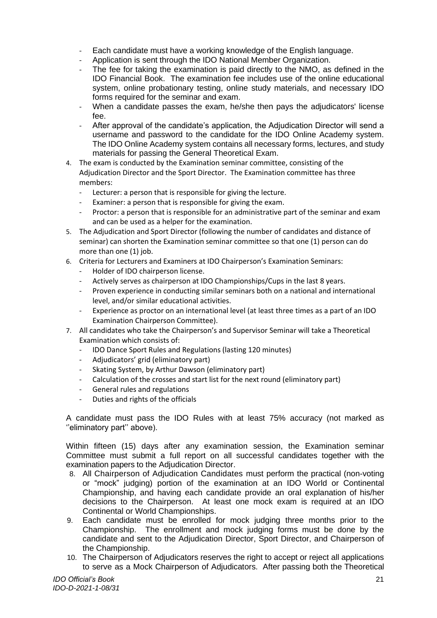- Each candidate must have a working knowledge of the English language.
- Application is sent through the IDO National Member Organization.
- The fee for taking the examination is paid directly to the NMO, as defined in the IDO Financial Book. The examination fee includes use of the online educational system, online probationary testing, online study materials, and necessary IDO forms required for the seminar and exam.
- When a candidate passes the exam, he/she then pays the adjudicators' license  $f \circ \theta$
- After approval of the candidate's application, the Adjudication Director will send a username and password to the candidate for the IDO Online Academy system. The IDO Online Academy system contains all necessary forms, lectures, and study materials for passing the General Theoretical Exam.
- 4. The exam is conducted by the Examination seminar committee, consisting of the Adjudication Director and the Sport Director. The Examination committee has three members:
	- Lecturer: a person that is responsible for giving the lecture.
	- Examiner: a person that is responsible for giving the exam.
	- Proctor: a person that is responsible for an administrative part of the seminar and exam and can be used as a helper for the examination.
- 5. The Adjudication and Sport Director (following the number of candidates and distance of seminar) can shorten the Examination seminar committee so that one (1) person can do more than one (1) job.
- 6. Criteria for Lecturers and Examiners at IDO Chairperson's Examination Seminars:
	- Holder of IDO chairperson license.
	- Actively serves as chairperson at IDO Championships/Cups in the last 8 years.
	- Proven experience in conducting similar seminars both on a national and international level, and/or similar educational activities.
	- Experience as proctor on an international level (at least three times as a part of an IDO Examination Chairperson Committee).
- 7. All candidates who take the Chairperson's and Supervisor Seminar will take a Theoretical Examination which consists of:
	- IDO Dance Sport Rules and Regulations (lasting 120 minutes)
	- Adjudicators' grid (eliminatory part)
	- Skating System, by Arthur Dawson (eliminatory part)
	- Calculation of the crosses and start list for the next round (eliminatory part)
	- General rules and regulations
	- Duties and rights of the officials

A candidate must pass the IDO Rules with at least 75% accuracy (not marked as "eliminatory part" above).

Within fifteen (15) days after any examination session, the Examination seminar Committee must submit a full report on all successful candidates together with the examination papers to the Adjudication Director.

- 8. All Chairperson of Adjudication Candidates must perform the practical (non-voting or "mock" judging) portion of the examination at an IDO World or Continental Championship, and having each candidate provide an oral explanation of his/her decisions to the Chairperson. At least one mock exam is required at an IDO Continental or World Championships.
- 9. Each candidate must be enrolled for mock judging three months prior to the Championship. The enrollment and mock judging forms must be done by the candidate and sent to the Adjudication Director, Sport Director, and Chairperson of the Championship.
- 10. The Chairperson of Adjudicators reserves the right to accept or reject all applications to serve as a Mock Chairperson of Adjudicators. After passing both the Theoretical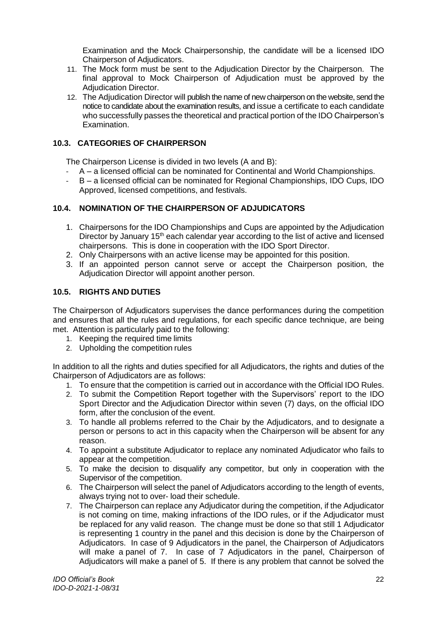Examination and the Mock Chairpersonship, the candidate will be a licensed IDO Chairperson of Adjudicators.

- 11. The Mock form must be sent to the Adjudication Director by the Chairperson. The final approval to Mock Chairperson of Adjudication must be approved by the Adjudication Director.
- 12. The Adjudication Director will publish the name of new chairperson on the website, send the notice to candidate about the examination results, and issue a certificate to each candidate who successfully passes the theoretical and practical portion of the IDO Chairperson's Examination.

## <span id="page-22-0"></span>**10.3. CATEGORIES OF CHAIRPERSON**

The Chairperson License is divided in two levels (A and B):

- A a licensed official can be nominated for Continental and World Championships.
- B a licensed official can be nominated for Regional Championships, IDO Cups, IDO Approved, licensed competitions, and festivals.

## <span id="page-22-1"></span>**10.4. NOMINATION OF THE CHAIRPERSON OF ADJUDICATORS**

- 1. Chairpersons for the IDO Championships and Cups are appointed by the Adjudication Director by January 15<sup>th</sup> each calendar year according to the list of active and licensed chairpersons. This is done in cooperation with the IDO Sport Director.
- 2. Only Chairpersons with an active license may be appointed for this position.
- 3. If an appointed person cannot serve or accept the Chairperson position, the Adjudication Director will appoint another person.

## <span id="page-22-2"></span>**10.5. RIGHTS AND DUTIES**

The Chairperson of Adjudicators supervises the dance performances during the competition and ensures that all the rules and regulations, for each specific dance technique, are being met. Attention is particularly paid to the following:

- 1. Keeping the required time limits
- 2. Upholding the competition rules

In addition to all the rights and duties specified for all Adjudicators, the rights and duties of the Chairperson of Adjudicators are as follows:

- 1. To ensure that the competition is carried out in accordance with the Official IDO Rules.
- 2. To submit the Competition Report together with the Supervisors' report to the IDO Sport Director and the Adjudication Director within seven (7) days, on the official IDO form, after the conclusion of the event.
- 3. To handle all problems referred to the Chair by the Adjudicators, and to designate a person or persons to act in this capacity when the Chairperson will be absent for any reason.
- 4. To appoint a substitute Adjudicator to replace any nominated Adjudicator who fails to appear at the competition.
- 5. To make the decision to disqualify any competitor, but only in cooperation with the Supervisor of the competition.
- 6. The Chairperson will select the panel of Adjudicators according to the length of events, always trying not to over- load their schedule.
- 7. The Chairperson can replace any Adjudicator during the competition, if the Adjudicator is not coming on time, making infractions of the IDO rules, or if the Adjudicator must be replaced for any valid reason. The change must be done so that still 1 Adjudicator is representing 1 country in the panel and this decision is done by the Chairperson of Adjudicators. In case of 9 Adjudicators in the panel, the Chairperson of Adjudicators will make a panel of 7. In case of 7 Adjudicators in the panel, Chairperson of Adjudicators will make a panel of 5. If there is any problem that cannot be solved the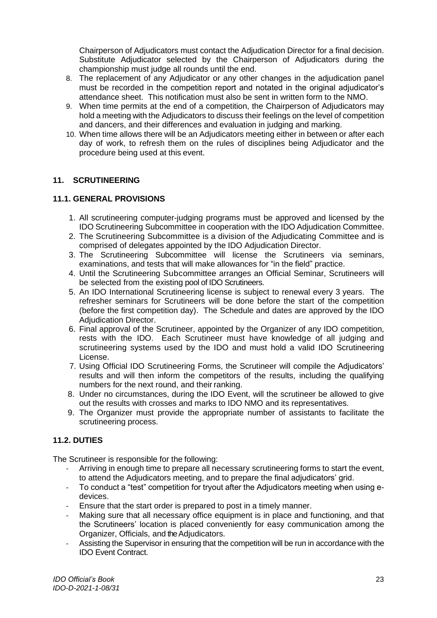Chairperson of Adjudicators must contact the Adjudication Director for a final decision. Substitute Adjudicator selected by the Chairperson of Adjudicators during the championship must judge all rounds until the end.

- 8. The replacement of any Adjudicator or any other changes in the adjudication panel must be recorded in the competition report and notated in the original adjudicator's attendance sheet. This notification must also be sent in written form to the NMO.
- 9. When time permits at the end of a competition, the Chairperson of Adjudicators may hold a meeting with the Adjudicators to discuss their feelings on the level of competition and dancers, and their differences and evaluation in judging and marking.
- 10. When time allows there will be an Adjudicators meeting either in between or after each day of work, to refresh them on the rules of disciplines being Adjudicator and the procedure being used at this event.

## <span id="page-23-0"></span>**11. SCRUTINEERING**

## <span id="page-23-1"></span>**11.1. GENERAL PROVISIONS**

- 1. All scrutineering computer-judging programs must be approved and licensed by the IDO Scrutineering Subcommittee in cooperation with the IDO Adjudication Committee.
- 2. The Scrutineering Subcommittee is a division of the Adjudicating Committee and is comprised of delegates appointed by the IDO Adjudication Director.
- 3. The Scrutineering Subcommittee will license the Scrutineers via seminars, examinations, and tests that will make allowances for "in the field" practice.
- 4. Until the Scrutineering Subcommittee arranges an Official Seminar, Scrutineers will be selected from the existing pool of IDO Scrutineers.
- 5. An IDO International Scrutineering license is subject to renewal every 3 years. The refresher seminars for Scrutineers will be done before the start of the competition (before the first competition day). The Schedule and dates are approved by the IDO Adjudication Director.
- 6. Final approval of the Scrutineer, appointed by the Organizer of any IDO competition, rests with the IDO. Each Scrutineer must have knowledge of all judging and scrutineering systems used by the IDO and must hold a valid IDO Scrutineering License.
- 7. Using Official IDO Scrutineering Forms, the Scrutineer will compile the Adjudicators' results and will then inform the competitors of the results, including the qualifying numbers for the next round, and their ranking.
- 8. Under no circumstances, during the IDO Event, will the scrutineer be allowed to give out the results with crosses and marks to IDO NMO and its representatives.
- 9. The Organizer must provide the appropriate number of assistants to facilitate the scrutineering process.

#### <span id="page-23-2"></span>**11.2. DUTIES**

The Scrutineer is responsible for the following:

- Arriving in enough time to prepare all necessary scrutineering forms to start the event, to attend the Adjudicators meeting, and to prepare the final adjudicators' grid.
- To conduct a "test" competition for tryout after the Adjudicators meeting when using edevices.
- Ensure that the start order is prepared to post in a timely manner.
- Making sure that all necessary office equipment is in place and functioning, and that the Scrutineers' location is placed conveniently for easy communication among the Organizer, Officials, and the Adjudicators.
- Assisting the Supervisor in ensuring that the competition will be run in accordance with the IDO Event Contract.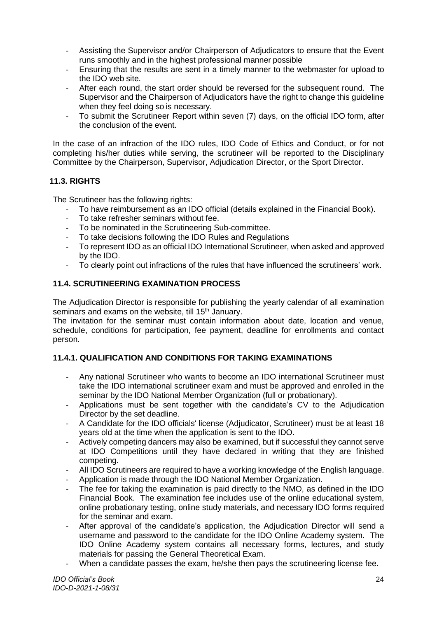- Assisting the Supervisor and/or Chairperson of Adjudicators to ensure that the Event runs smoothly and in the highest professional manner possible
- Ensuring that the results are sent in a timely manner to the webmaster for upload to the IDO web site.
- After each round, the start order should be reversed for the subsequent round. The Supervisor and the Chairperson of Adjudicators have the right to change this guideline when they feel doing so is necessary.
- To submit the Scrutineer Report within seven (7) days, on the official IDO form, after the conclusion of the event.

In the case of an infraction of the IDO rules, IDO Code of Ethics and Conduct, or for not completing his/her duties while serving, the scrutineer will be reported to the Disciplinary Committee by the Chairperson, Supervisor, Adjudication Director, or the Sport Director.

## <span id="page-24-0"></span>**11.3. RIGHTS**

The Scrutineer has the following rights:

- To have reimbursement as an IDO official (details explained in the Financial Book).
- To take refresher seminars without fee.
- To be nominated in the Scrutineering Sub-committee.
- To take decisions following the IDO Rules and Regulations
- To represent IDO as an official IDO International Scrutineer, when asked and approved by the IDO.
- To clearly point out infractions of the rules that have influenced the scrutineers' work.

## <span id="page-24-1"></span>**11.4. SCRUTINEERING EXAMINATION PROCESS**

The Adjudication Director is responsible for publishing the yearly calendar of all examination seminars and exams on the website, till 15<sup>th</sup> January.

The invitation for the seminar must contain information about date, location and venue, schedule, conditions for participation, fee payment, deadline for enrollments and contact person.

## <span id="page-24-2"></span>**11.4.1. QUALIFICATION AND CONDITIONS FOR TAKING EXAMINATIONS**

- Any national Scrutineer who wants to become an IDO international Scrutineer must take the IDO international scrutineer exam and must be approved and enrolled in the seminar by the IDO National Member Organization (full or probationary).
- Applications must be sent together with the candidate's CV to the Adjudication Director by the set deadline.
- A Candidate for the IDO officials' license (Adjudicator, Scrutineer) must be at least 18 years old at the time when the application is sent to the IDO.
- Actively competing dancers may also be examined, but if successful they cannot serve at IDO Competitions until they have declared in writing that they are finished competing.
- All IDO Scrutineers are required to have a working knowledge of the English language.
- Application is made through the IDO National Member Organization.
- The fee for taking the examination is paid directly to the NMO, as defined in the IDO Financial Book. The examination fee includes use of the online educational system, online probationary testing, online study materials, and necessary IDO forms required for the seminar and exam.
- After approval of the candidate's application, the Adjudication Director will send a username and password to the candidate for the IDO Online Academy system. The IDO Online Academy system contains all necessary forms, lectures, and study materials for passing the General Theoretical Exam.
- When a candidate passes the exam, he/she then pays the scrutineering license fee.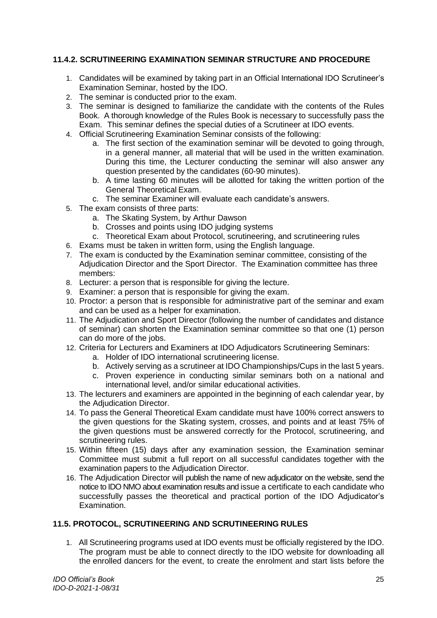## <span id="page-25-0"></span>**11.4.2. SCRUTINEERING EXAMINATION SEMINAR STRUCTURE AND PROCEDURE**

- 1. Candidates will be examined by taking part in an Official International IDO Scrutineer's Examination Seminar, hosted by the IDO.
- 2. The seminar is conducted prior to the exam.
- 3. The seminar is designed to familiarize the candidate with the contents of the Rules Book. A thorough knowledge of the Rules Book is necessary to successfully pass the Exam. This seminar defines the special duties of a Scrutineer at IDO events.
- 4. Official Scrutineering Examination Seminar consists of the following:
	- a. The first section of the examination seminar will be devoted to going through, in a general manner, all material that will be used in the written examination. During this time, the Lecturer conducting the seminar will also answer any question presented by the candidates (60-90 minutes).
	- b. A time lasting 60 minutes will be allotted for taking the written portion of the General Theoretical Exam.
	- c. The seminar Examiner will evaluate each candidate's answers.
- 5. The exam consists of three parts:
	- a. The Skating System, by Arthur Dawson
	- b. Crosses and points using IDO judging systems
	- c. Theoretical Exam about Protocol, scrutineering, and scrutineering rules
- 6. Exams must be taken in written form, using the English language.
- 7. The exam is conducted by the Examination seminar committee, consisting of the Adjudication Director and the Sport Director. The Examination committee has three members:
- 8. Lecturer: a person that is responsible for giving the lecture.
- 9. Examiner: a person that is responsible for giving the exam.
- 10. Proctor: a person that is responsible for administrative part of the seminar and exam and can be used as a helper for examination.
- 11. The Adjudication and Sport Director (following the number of candidates and distance of seminar) can shorten the Examination seminar committee so that one (1) person can do more of the jobs.
- 12. Criteria for Lecturers and Examiners at IDO Adjudicators Scrutineering Seminars:
	- a. Holder of IDO international scrutineering license.
	- b. Actively serving as a scrutineer at IDO Championships/Cups in the last 5 years.
	- c. Proven experience in conducting similar seminars both on a national and international level, and/or similar educational activities.
- 13. The lecturers and examiners are appointed in the beginning of each calendar year, by the Adjudication Director.
- 14. To pass the General Theoretical Exam candidate must have 100% correct answers to the given questions for the Skating system, crosses, and points and at least 75% of the given questions must be answered correctly for the Protocol, scrutineering, and scrutineering rules.
- 15. Within fifteen (15) days after any examination session, the Examination seminar Committee must submit a full report on all successful candidates together with the examination papers to the Adjudication Director.
- 16. The Adjudication Director will publish the name of new adjudicator on the website, send the notice to IDO NMO about examination results and issue a certificate to each candidate who successfully passes the theoretical and practical portion of the IDO Adjudicator's Examination.

## <span id="page-25-1"></span>**11.5. PROTOCOL, SCRUTINEERING AND SCRUTINEERING RULES**

1. All Scrutineering programs used at IDO events must be officially registered by the IDO. The program must be able to connect directly to the IDO website for downloading all the enrolled dancers for the event, to create the enrolment and start lists before the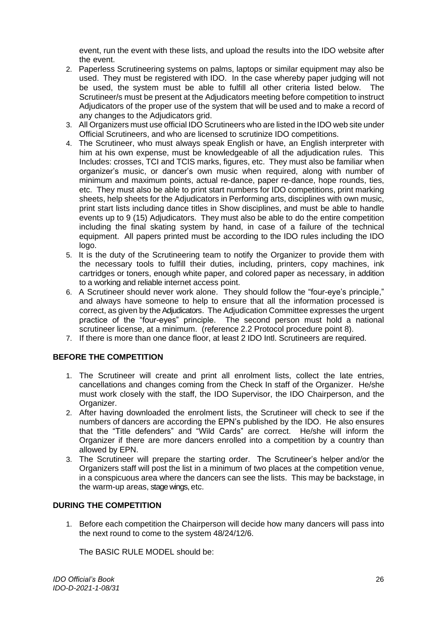event, run the event with these lists, and upload the results into the IDO website after the event.

- 2. Paperless Scrutineering systems on palms, laptops or similar equipment may also be used. They must be registered with IDO. In the case whereby paper judging will not be used, the system must be able to fulfill all other criteria listed below. The Scrutineer/s must be present at the Adjudicators meeting before competition to instruct Adjudicators of the proper use of the system that will be used and to make a record of any changes to the Adjudicators grid.
- 3. All Organizers must use official IDO Scrutineers who are listed in the IDO web site under Official Scrutineers, and who are licensed to scrutinize IDO competitions.
- 4. The Scrutineer, who must always speak English or have, an English interpreter with him at his own expense, must be knowledgeable of all the adjudication rules. This Includes: crosses, TCI and TCIS marks, figures, etc. They must also be familiar when organizer's music, or dancer's own music when required, along with number of minimum and maximum points, actual re-dance, paper re-dance, hope rounds, ties, etc. They must also be able to print start numbers for IDO competitions, print marking sheets, help sheets for the Adjudicators in Performing arts, disciplines with own music, print start lists including dance titles in Show disciplines, and must be able to handle events up to 9 (15) Adjudicators. They must also be able to do the entire competition including the final skating system by hand, in case of a failure of the technical equipment. All papers printed must be according to the IDO rules including the IDO logo.
- 5. It is the duty of the Scrutineering team to notify the Organizer to provide them with the necessary tools to fulfill their duties, including, printers, copy machines, ink cartridges or toners, enough white paper, and colored paper as necessary, in addition to a working and reliable internet access point.
- 6. A Scrutineer should never work alone. They should follow the "four-eye's principle," and always have someone to help to ensure that all the information processed is correct, as given by the Adjudicators. The Adjudication Committee expresses the urgent practice of the "four-eyes" principle. The second person must hold a national scrutineer license, at a minimum. (reference 2.2 Protocol procedure point 8).
- 7. If there is more than one dance floor, at least 2 IDO Intl. Scrutineers are required.

## **BEFORE THE COMPETITION**

- 1. The Scrutineer will create and print all enrolment lists, collect the late entries, cancellations and changes coming from the Check In staff of the Organizer. He/she must work closely with the staff, the IDO Supervisor, the IDO Chairperson, and the Organizer.
- 2. After having downloaded the enrolment lists, the Scrutineer will check to see if the numbers of dancers are according the EPN's published by the IDO. He also ensures that the "Title defenders" and "Wild Cards" are correct. He/she will inform the Organizer if there are more dancers enrolled into a competition by a country than allowed by EPN.
- 3. The Scrutineer will prepare the starting order. The Scrutineer's helper and/or the Organizers staff will post the list in a minimum of two places at the competition venue, in a conspicuous area where the dancers can see the lists. This may be backstage, in the warm-up areas, stage wings, etc.

## **DURING THE COMPETITION**

1. Before each competition the Chairperson will decide how many dancers will pass into the next round to come to the system 48/24/12/6.

The BASIC RULE MODEL should be: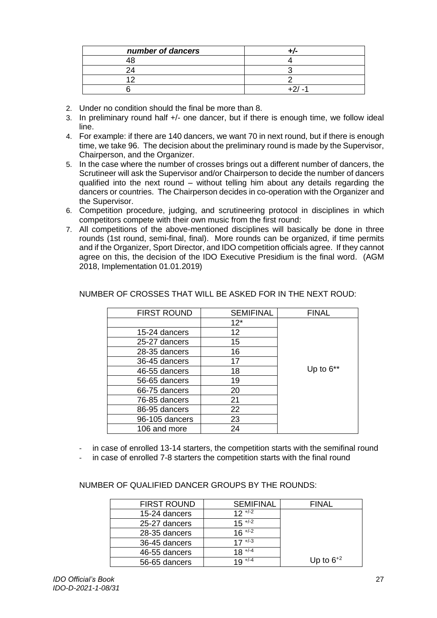| number of dancers |  |
|-------------------|--|
|                   |  |
|                   |  |
|                   |  |
|                   |  |

- 2. Under no condition should the final be more than 8.
- 3. In preliminary round half +/- one dancer, but if there is enough time, we follow ideal line.
- 4. For example: if there are 140 dancers, we want 70 in next round, but if there is enough time, we take 96. The decision about the preliminary round is made by the Supervisor, Chairperson, and the Organizer.
- 5. In the case where the number of crosses brings out a different number of dancers, the Scrutineer will ask the Supervisor and/or Chairperson to decide the number of dancers qualified into the next round – without telling him about any details regarding the dancers or countries. The Chairperson decides in co-operation with the Organizer and the Supervisor.
- 6. Competition procedure, judging, and scrutineering protocol in disciplines in which competitors compete with their own music from the first round:
- 7. All competitions of the above-mentioned disciplines will basically be done in three rounds (1st round, semi-final, final). More rounds can be organized, if time permits and if the Organizer, Sport Director, and IDO competition officials agree. If they cannot agree on this, the decision of the IDO Executive Presidium is the final word. (AGM 2018, Implementation 01.01.2019)

| <b>FIRST ROUND</b> | <b>SEMIFINAL</b> | <b>FINAL</b> |
|--------------------|------------------|--------------|
|                    | $12*$            |              |
| 15-24 dancers      | 12               |              |
| 25-27 dancers      | 15               |              |
| 28-35 dancers      | 16               |              |
| 36-45 dancers      | 17               |              |
| 46-55 dancers      | 18               | Up to $6**$  |
| 56-65 dancers      | 19               |              |
| 66-75 dancers      | 20               |              |
| 76-85 dancers      | 21               |              |
| 86-95 dancers      | 22               |              |
| 96-105 dancers     | 23               |              |
| 106 and more       | 24               |              |

## NUMBER OF CROSSES THAT WILL BE ASKED FOR IN THE NEXT ROUD:

- in case of enrolled 13-14 starters, the competition starts with the semifinal round
- in case of enrolled 7-8 starters the competition starts with the final round

NUMBER OF QUALIFIED DANCER GROUPS BY THE ROUNDS:

| <b>FIRST ROUND</b> | <b>SEMIFINAL</b>     | <b>FINAL</b>   |
|--------------------|----------------------|----------------|
| 15-24 dancers      | $12 + 2$             |                |
| 25-27 dancers      | $15$ <sup>+/-2</sup> |                |
| 28-35 dancers      | $16 \sqrt{2}$        |                |
| 36-45 dancers      | $17$ <sup>+/-3</sup> |                |
| 46-55 dancers      | $18^{+/4}$           |                |
| 56-65 dancers      | $19^{+/-4}$          | Up to $6^{+2}$ |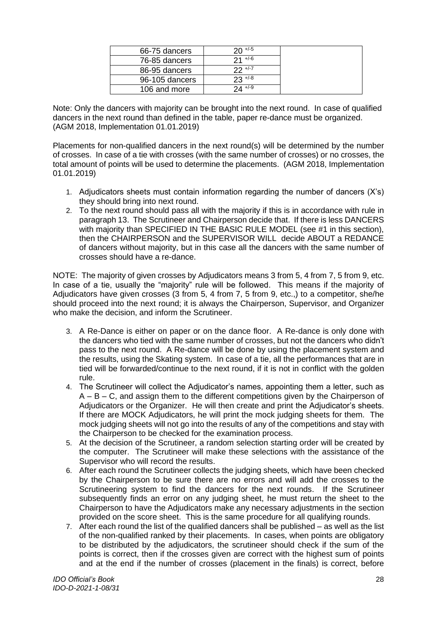| 66-75 dancers  | $20 + 5$     |  |
|----------------|--------------|--|
| 76-85 dancers  | $21 + (-6)$  |  |
| 86-95 dancers  | $22 + 1 - 7$ |  |
| 96-105 dancers | $23 + 8$     |  |
| 106 and more   | $24 + 1.9$   |  |

Note: Only the dancers with majority can be brought into the next round. In case of qualified dancers in the next round than defined in the table, paper re-dance must be organized. (AGM 2018, Implementation 01.01.2019)

Placements for non-qualified dancers in the next round(s) will be determined by the number of crosses. In case of a tie with crosses (with the same number of crosses) or no crosses, the total amount of points will be used to determine the placements. (AGM 2018, Implementation 01.01.2019)

- 1. Adjudicators sheets must contain information regarding the number of dancers (X's) they should bring into next round.
- 2. To the next round should pass all with the majority if this is in accordance with rule in paragraph 13. The Scrutineer and Chairperson decide that. If there is less DANCERS with majority than SPECIFIED IN THE BASIC RULE MODEL (see #1 in this section). then the CHAIRPERSON and the SUPERVISOR WILL decide ABOUT a REDANCE of dancers without majority, but in this case all the dancers with the same number of crosses should have a re-dance.

NOTE: The majority of given crosses by Adjudicators means 3 from 5, 4 from 7, 5 from 9, etc. In case of a tie, usually the "majority" rule will be followed. This means if the majority of Adjudicators have given crosses (3 from 5, 4 from 7, 5 from 9, etc.,) to a competitor, she/he should proceed into the next round; it is always the Chairperson, Supervisor, and Organizer who make the decision, and inform the Scrutineer.

- 3. A Re-Dance is either on paper or on the dance floor. A Re-dance is only done with the dancers who tied with the same number of crosses, but not the dancers who didn't pass to the next round. A Re-dance will be done by using the placement system and the results, using the Skating system. In case of a tie, all the performances that are in tied will be forwarded/continue to the next round, if it is not in conflict with the golden rule.
- 4. The Scrutineer will collect the Adjudicator's names, appointing them a letter, such as  $A - B - C$ , and assign them to the different competitions given by the Chairperson of Adjudicators or the Organizer. He will then create and print the Adjudicator's sheets. If there are MOCK Adjudicators, he will print the mock judging sheets for them. The mock judging sheets will not go into the results of any of the competitions and stay with the Chairperson to be checked for the examination process.
- 5. At the decision of the Scrutineer, a random selection starting order will be created by the computer. The Scrutineer will make these selections with the assistance of the Supervisor who will record the results.
- 6. After each round the Scrutineer collects the judging sheets, which have been checked by the Chairperson to be sure there are no errors and will add the crosses to the Scrutineering system to find the dancers for the next rounds. If the Scrutineer subsequently finds an error on any judging sheet, he must return the sheet to the Chairperson to have the Adjudicators make any necessary adjustments in the section provided on the score sheet. This is the same procedure for all qualifying rounds.
- 7. After each round the list of the qualified dancers shall be published as well as the list of the non-qualified ranked by their placements. In cases, when points are obligatory to be distributed by the adjudicators, the scrutineer should check if the sum of the points is correct, then if the crosses given are correct with the highest sum of points and at the end if the number of crosses (placement in the finals) is correct, before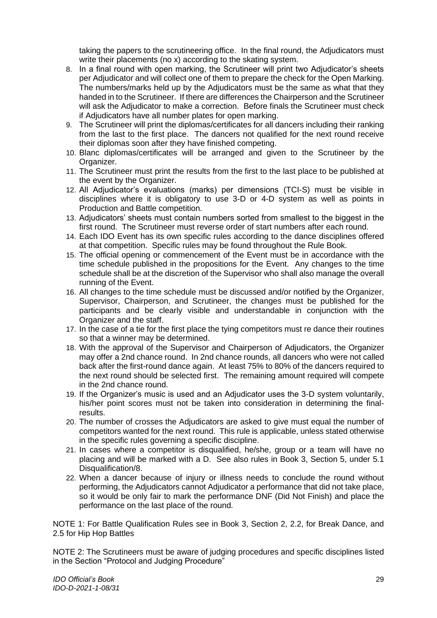taking the papers to the scrutineering office. In the final round, the Adjudicators must write their placements (no x) according to the skating system.

- 8. In a final round with open marking, the Scrutineer will print two Adjudicator's sheets per Adjudicator and will collect one of them to prepare the check for the Open Marking. The numbers/marks held up by the Adjudicators must be the same as what that they handed in to the Scrutineer. If there are differences the Chairperson and the Scrutineer will ask the Adjudicator to make a correction. Before finals the Scrutineer must check if Adjudicators have all number plates for open marking.
- 9. The Scrutineer will print the diplomas/certificates for all dancers including their ranking from the last to the first place. The dancers not qualified for the next round receive their diplomas soon after they have finished competing.
- 10. Blanc diplomas/certificates will be arranged and given to the Scrutineer by the Organizer.
- 11. The Scrutineer must print the results from the first to the last place to be published at the event by the Organizer.
- 12. All Adjudicator's evaluations (marks) per dimensions (TCI-S) must be visible in disciplines where it is obligatory to use 3-D or 4-D system as well as points in Production and Battle competition.
- 13. Adjudicators' sheets must contain numbers sorted from smallest to the biggest in the first round. The Scrutineer must reverse order of start numbers after each round.
- 14. Each IDO Event has its own specific rules according to the dance disciplines offered at that competition. Specific rules may be found throughout the Rule Book.
- 15. The official opening or commencement of the Event must be in accordance with the time schedule published in the propositions for the Event. Any changes to the time schedule shall be at the discretion of the Supervisor who shall also manage the overall running of the Event.
- 16. All changes to the time schedule must be discussed and/or notified by the Organizer, Supervisor, Chairperson, and Scrutineer, the changes must be published for the participants and be clearly visible and understandable in conjunction with the Organizer and the staff.
- 17. In the case of a tie for the first place the tying competitors must re dance their routines so that a winner may be determined.
- 18. With the approval of the Supervisor and Chairperson of Adjudicators, the Organizer may offer a 2nd chance round. In 2nd chance rounds, all dancers who were not called back after the first-round dance again. At least 75% to 80% of the dancers required to the next round should be selected first. The remaining amount required will compete in the 2nd chance round.
- 19. If the Organizer's music is used and an Adjudicator uses the 3-D system voluntarily, his/her point scores must not be taken into consideration in determining the finalresults.
- 20. The number of crosses the Adjudicators are asked to give must equal the number of competitors wanted for the next round. This rule is applicable, unless stated otherwise in the specific rules governing a specific discipline.
- 21. In cases where a competitor is disqualified, he/she, group or a team will have no placing and will be marked with a D. See also rules in Book 3, Section 5, under 5.1 Disqualification/8.
- 22. When a dancer because of injury or illness needs to conclude the round without performing, the Adjudicators cannot Adjudicator a performance that did not take place, so it would be only fair to mark the performance DNF (Did Not Finish) and place the performance on the last place of the round.

NOTE 1: For Battle Qualification Rules see in Book 3, Section 2, 2.2, for Break Dance, and 2.5 for Hip Hop Battles

NOTE 2: The Scrutineers must be aware of judging procedures and specific disciplines listed in the Section "Protocol and Judging Procedure"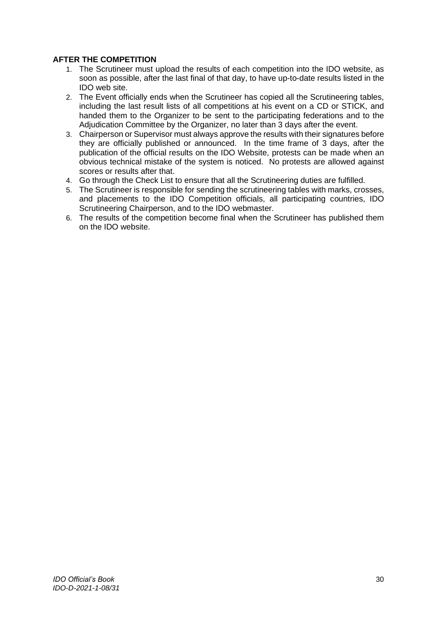## **AFTER THE COMPETITION**

- 1. The Scrutineer must upload the results of each competition into the IDO website, as soon as possible, after the last final of that day, to have up-to-date results listed in the IDO web site.
- 2. The Event officially ends when the Scrutineer has copied all the Scrutineering tables, including the last result lists of all competitions at his event on a CD or STICK, and handed them to the Organizer to be sent to the participating federations and to the Adjudication Committee by the Organizer, no later than 3 days after the event.
- 3. Chairperson or Supervisor must always approve the results with their signatures before they are officially published or announced. In the time frame of 3 days, after the publication of the official results on the IDO Website, protests can be made when an obvious technical mistake of the system is noticed. No protests are allowed against scores or results after that.
- 4. Go through the Check List to ensure that all the Scrutineering duties are fulfilled.
- 5. The Scrutineer is responsible for sending the scrutineering tables with marks, crosses, and placements to the IDO Competition officials, all participating countries, IDO Scrutineering Chairperson, and to the IDO webmaster.
- 6. The results of the competition become final when the Scrutineer has published them on the IDO website.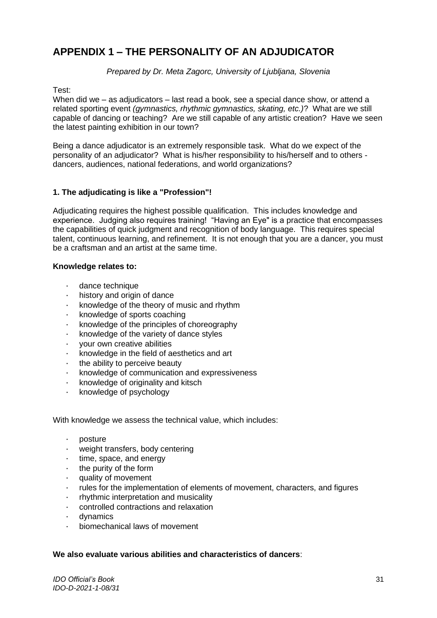## <span id="page-31-0"></span>**APPENDIX 1 – THE PERSONALITY OF AN ADJUDICATOR**

*Prepared by Dr. Meta Zagorc, University of Ljubljana, Slovenia*

Test:

When did we – as adjudicators – last read a book, see a special dance show, or attend a related sporting event *(gymnastics, rhythmic gymnastics, skating, etc.)*? What are we still capable of dancing or teaching? Are we still capable of any artistic creation? Have we seen the latest painting exhibition in our town?

Being a dance adjudicator is an extremely responsible task. What do we expect of the personality of an adjudicator? What is his/her responsibility to his/herself and to others dancers, audiences, national federations, and world organizations?

## **1. The adjudicating is like a "Profession"!**

Adjudicating requires the highest possible qualification. This includes knowledge and experience. Judging also requires training! "Having an Eye" is a practice that encompasses the capabilities of quick judgment and recognition of body language. This requires special talent, continuous learning, and refinement. It is not enough that you are a dancer, you must be a craftsman and an artist at the same time.

#### **Knowledge relates to:**

- · dance technique
- history and origin of dance
- · knowledge of the theory of music and rhythm
- knowledge of sports coaching
- · knowledge of the principles of choreography
- knowledge of the variety of dance styles
- · your own creative abilities
- · knowledge in the field of aesthetics and art
- the ability to perceive beauty
- · knowledge of communication and expressiveness
- · knowledge of originality and kitsch
- · knowledge of psychology

With knowledge we assess the technical value, which includes:

- · posture
- weight transfers, body centering
- time, space, and energy
- the purity of the form
- quality of movement
- rules for the implementation of elements of movement, characters, and figures
- · rhythmic interpretation and musicality
- · controlled contractions and relaxation
- · dynamics
- · biomechanical laws of movement

#### **We also evaluate various abilities and characteristics of dancers**:

*IDO Official's Book IDO-D-2021-1-08/31*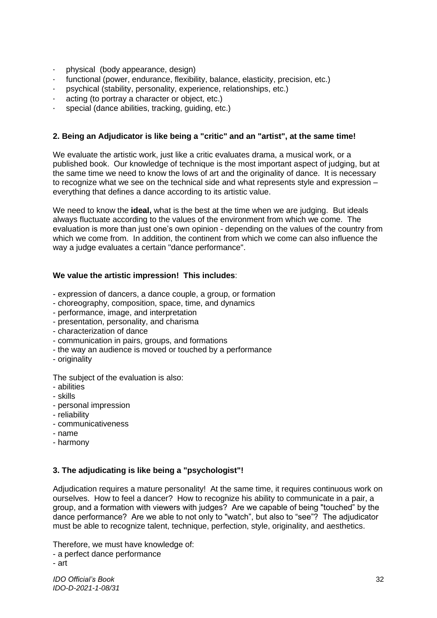- · physical (body appearance, design)
- · functional (power, endurance, flexibility, balance, elasticity, precision, etc.)
- psychical (stability, personality, experience, relationships, etc.)
- acting (to portray a character or object, etc.)
- special (dance abilities, tracking, guiding, etc.)

## **2. Being an Adjudicator is like being a "critic" and an "artist", at the same time!**

We evaluate the artistic work, just like a critic evaluates drama, a musical work, or a published book. Our knowledge of technique is the most important aspect of judging, but at the same time we need to know the lows of art and the originality of dance. It is necessary to recognize what we see on the technical side and what represents style and expression – everything that defines a dance according to its artistic value.

We need to know the **ideal,** what is the best at the time when we are judging. But ideals always fluctuate according to the values of the environment from which we come. The evaluation is more than just one's own opinion - depending on the values of the country from which we come from. In addition, the continent from which we come can also influence the way a judge evaluates a certain "dance performance".

#### **We value the artistic impression! This includes**:

- expression of dancers, a dance couple, a group, or formation
- choreography, composition, space, time, and dynamics
- performance, image, and interpretation
- presentation, personality, and charisma
- characterization of dance
- communication in pairs, groups, and formations
- the way an audience is moved or touched by a performance
- originality

The subject of the evaluation is also:

- abilities
- skills
- personal impression
- reliability
- communicativeness
- name
- harmony

#### **3. The adjudicating is like being a "psychologist"!**

Adjudication requires a mature personality! At the same time, it requires continuous work on ourselves. How to feel a dancer? How to recognize his ability to communicate in a pair, a group, and a formation with viewers with judges? Are we capable of being "touched" by the dance performance? Are we able to not only to "watch", but also to "see"? The adjudicator must be able to recognize talent, technique, perfection, style, originality, and aesthetics.

Therefore, we must have knowledge of:

- a perfect dance performance

<sup>-</sup> art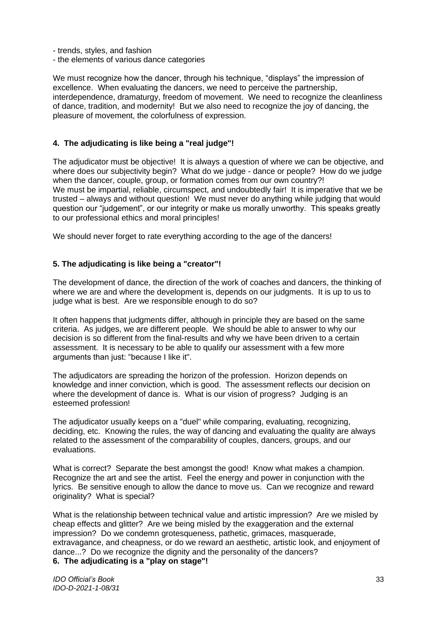- trends, styles, and fashion
- the elements of various dance categories

We must recognize how the dancer, through his technique, "displays" the impression of excellence. When evaluating the dancers, we need to perceive the partnership, interdependence, dramaturgy, freedom of movement. We need to recognize the cleanliness of dance, tradition, and modernity! But we also need to recognize the joy of dancing, the pleasure of movement, the colorfulness of expression.

## **4. The adjudicating is like being a "real judge"!**

The adjudicator must be objective! It is always a question of where we can be objective, and where does our subjectivity begin? What do we judge - dance or people? How do we judge when the dancer, couple, group, or formation comes from our own country?! We must be impartial, reliable, circumspect, and undoubtedly fair! It is imperative that we be trusted – always and without question! We must never do anything while judging that would question our "judgement", or our integrity or make us morally unworthy. This speaks greatly to our professional ethics and moral principles!

We should never forget to rate everything according to the age of the dancers!

#### **5. The adjudicating is like being a "creator"!**

The development of dance, the direction of the work of coaches and dancers, the thinking of where we are and where the development is, depends on our judgments. It is up to us to judge what is best. Are we responsible enough to do so?

It often happens that judgments differ, although in principle they are based on the same criteria. As judges, we are different people. We should be able to answer to why our decision is so different from the final-results and why we have been driven to a certain assessment. It is necessary to be able to qualify our assessment with a few more arguments than just: "because I like it".

The adjudicators are spreading the horizon of the profession. Horizon depends on knowledge and inner conviction, which is good. The assessment reflects our decision on where the development of dance is. What is our vision of progress? Judging is an esteemed profession!

The adjudicator usually keeps on a "duel" while comparing, evaluating, recognizing, deciding, etc. Knowing the rules, the way of dancing and evaluating the quality are always related to the assessment of the comparability of couples, dancers, groups, and our evaluations.

What is correct? Separate the best amongst the good! Know what makes a champion. Recognize the art and see the artist. Feel the energy and power in conjunction with the lyrics. Be sensitive enough to allow the dance to move us. Can we recognize and reward originality? What is special?

What is the relationship between technical value and artistic impression? Are we misled by cheap effects and glitter? Are we being misled by the exaggeration and the external impression? Do we condemn grotesqueness, pathetic, grimaces, masquerade, extravagance, and cheapness, or do we reward an aesthetic, artistic look, and enjoyment of dance...? Do we recognize the dignity and the personality of the dancers? **6. The adjudicating is a "play on stage"!**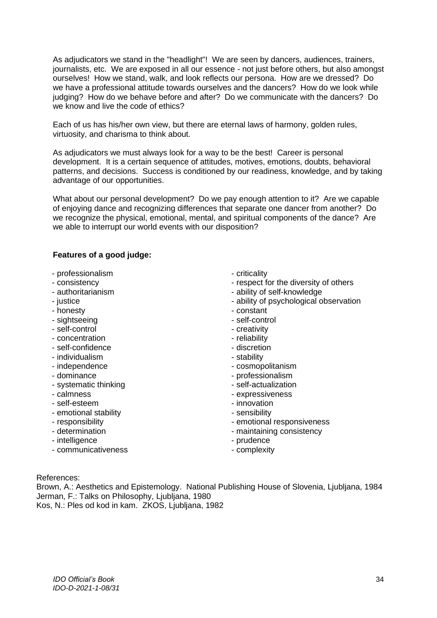As adjudicators we stand in the "headlight"! We are seen by dancers, audiences, trainers, journalists, etc. We are exposed in all our essence - not just before others, but also amongst ourselves! How we stand, walk, and look reflects our persona. How are we dressed? Do we have a professional attitude towards ourselves and the dancers? How do we look while judging? How do we behave before and after? Do we communicate with the dancers? Do we know and live the code of ethics?

Each of us has his/her own view, but there are eternal laws of harmony, golden rules, virtuosity, and charisma to think about.

As adjudicators we must always look for a way to be the best! Career is personal development. It is a certain sequence of attitudes, motives, emotions, doubts, behavioral patterns, and decisions. Success is conditioned by our readiness, knowledge, and by taking advantage of our opportunities.

What about our personal development? Do we pay enough attention to it? Are we capable of enjoying dance and recognizing differences that separate one dancer from another? Do we recognize the physical, emotional, mental, and spiritual components of the dance? Are we able to interrupt our world events with our disposition?

#### **Features of a good judge:**

- professionalism
- consistency
- authoritarianism
- justice
- honesty
- sightseeing
- self-control
- concentration
- self-confidence
- individualism
- independence
- dominance
- systematic thinking
- calmness
- self-esteem
- emotional stability
- responsibility
- determination
- intelligence
- communicativeness
- criticality
- respect for the diversity of others
- ability of self-knowledge
- ability of psychological observation
- constant
- self-control
- creativity
- reliability
- discretion
- stability
- cosmopolitanism
- professionalism
- self-actualization
- expressiveness
- innovation
- sensibility
- emotional responsiveness
- maintaining consistency
- prudence
- complexity

#### References:

Brown, A.: Aesthetics and Epistemology. National Publishing House of Slovenia, Ljubljana, 1984 Jerman, F.: Talks on Philosophy, Ljubljana, 1980

Kos, N.: Ples od kod in kam. ZKOS, Ljubljana, 1982